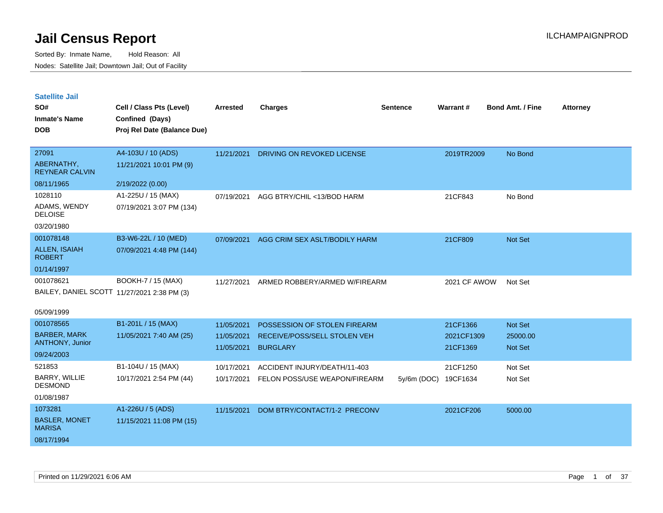| <b>Satellite Jail</b> |  |
|-----------------------|--|
|                       |  |

| SO#<br><b>Inmate's Name</b><br><b>DOB</b> | Cell / Class Pts (Level)<br>Confined (Days)<br>Proj Rel Date (Balance Due) | <b>Arrested</b> | <b>Charges</b>                | <b>Sentence</b> | Warrant#     | <b>Bond Amt. / Fine</b> | <b>Attorney</b> |
|-------------------------------------------|----------------------------------------------------------------------------|-----------------|-------------------------------|-----------------|--------------|-------------------------|-----------------|
| 27091                                     | A4-103U / 10 (ADS)                                                         | 11/21/2021      | DRIVING ON REVOKED LICENSE    |                 | 2019TR2009   | No Bond                 |                 |
| ABERNATHY,<br><b>REYNEAR CALVIN</b>       | 11/21/2021 10:01 PM (9)                                                    |                 |                               |                 |              |                         |                 |
| 08/11/1965                                | 2/19/2022 (0.00)                                                           |                 |                               |                 |              |                         |                 |
| 1028110                                   | A1-225U / 15 (MAX)                                                         | 07/19/2021      | AGG BTRY/CHIL <13/BOD HARM    |                 | 21CF843      | No Bond                 |                 |
| ADAMS, WENDY<br><b>DELOISE</b>            | 07/19/2021 3:07 PM (134)                                                   |                 |                               |                 |              |                         |                 |
| 03/20/1980                                |                                                                            |                 |                               |                 |              |                         |                 |
| 001078148                                 | B3-W6-22L / 10 (MED)                                                       | 07/09/2021      | AGG CRIM SEX ASLT/BODILY HARM |                 | 21CF809      | Not Set                 |                 |
| <b>ALLEN, ISAIAH</b><br><b>ROBERT</b>     | 07/09/2021 4:48 PM (144)                                                   |                 |                               |                 |              |                         |                 |
| 01/14/1997                                |                                                                            |                 |                               |                 |              |                         |                 |
| 001078621                                 | BOOKH-7 / 15 (MAX)                                                         | 11/27/2021      | ARMED ROBBERY/ARMED W/FIREARM |                 | 2021 CF AWOW | Not Set                 |                 |
|                                           | BAILEY, DANIEL SCOTT 11/27/2021 2:38 PM (3)                                |                 |                               |                 |              |                         |                 |
| 05/09/1999                                |                                                                            |                 |                               |                 |              |                         |                 |
| 001078565                                 | B1-201L / 15 (MAX)                                                         | 11/05/2021      | POSSESSION OF STOLEN FIREARM  |                 | 21CF1366     | Not Set                 |                 |
| <b>BARBER, MARK</b>                       | 11/05/2021 7:40 AM (25)                                                    | 11/05/2021      | RECEIVE/POSS/SELL STOLEN VEH  |                 | 2021CF1309   | 25000.00                |                 |
| <b>ANTHONY, Junior</b>                    |                                                                            | 11/05/2021      | <b>BURGLARY</b>               |                 | 21CF1369     | Not Set                 |                 |
| 09/24/2003                                |                                                                            |                 |                               |                 |              |                         |                 |
| 521853                                    | B1-104U / 15 (MAX)                                                         | 10/17/2021      | ACCIDENT INJURY/DEATH/11-403  |                 | 21CF1250     | Not Set                 |                 |
| BARRY, WILLIE<br><b>DESMOND</b>           | 10/17/2021 2:54 PM (44)                                                    | 10/17/2021      | FELON POSS/USE WEAPON/FIREARM | 5y/6m (DOC)     | 19CF1634     | Not Set                 |                 |
| 01/08/1987                                |                                                                            |                 |                               |                 |              |                         |                 |
| 1073281                                   | A1-226U / 5 (ADS)                                                          | 11/15/2021      | DOM BTRY/CONTACT/1-2 PRECONV  |                 | 2021CF206    | 5000.00                 |                 |
| <b>BASLER, MONET</b><br><b>MARISA</b>     | 11/15/2021 11:08 PM (15)                                                   |                 |                               |                 |              |                         |                 |
| 08/17/1994                                |                                                                            |                 |                               |                 |              |                         |                 |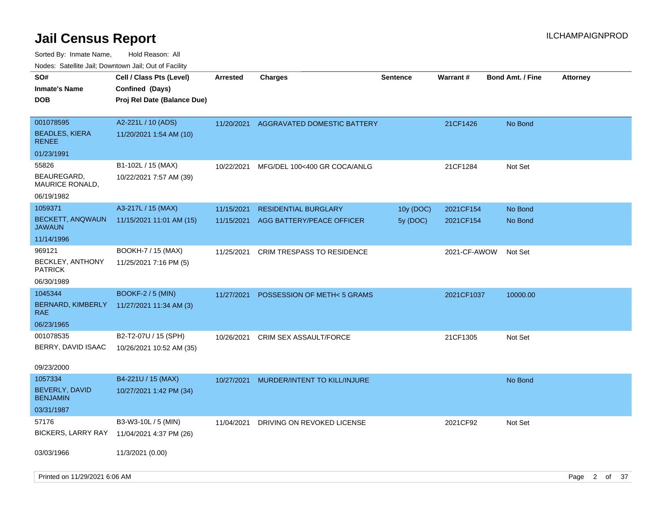| roaco. Catolino dall, Downtown dall, Out of Fability |                                                                            |                 |                                        |                 |              |                         |                 |  |
|------------------------------------------------------|----------------------------------------------------------------------------|-----------------|----------------------------------------|-----------------|--------------|-------------------------|-----------------|--|
| SO#<br><b>Inmate's Name</b><br><b>DOB</b>            | Cell / Class Pts (Level)<br>Confined (Days)<br>Proj Rel Date (Balance Due) | <b>Arrested</b> | Charges                                | <b>Sentence</b> | Warrant#     | <b>Bond Amt. / Fine</b> | <b>Attorney</b> |  |
| 001078595<br><b>BEADLES, KIERA</b><br><b>RENEE</b>   | A2-221L / 10 (ADS)<br>11/20/2021 1:54 AM (10)                              |                 | 11/20/2021 AGGRAVATED DOMESTIC BATTERY |                 | 21CF1426     | No Bond                 |                 |  |
| 01/23/1991                                           |                                                                            |                 |                                        |                 |              |                         |                 |  |
| 55826                                                | B1-102L / 15 (MAX)                                                         | 10/22/2021      | MFG/DEL 100<400 GR COCA/ANLG           |                 | 21CF1284     | Not Set                 |                 |  |
| BEAUREGARD,<br>MAURICE RONALD,                       | 10/22/2021 7:57 AM (39)                                                    |                 |                                        |                 |              |                         |                 |  |
| 06/19/1982                                           |                                                                            |                 |                                        |                 |              |                         |                 |  |
| 1059371                                              | A3-217L / 15 (MAX)                                                         | 11/15/2021      | <b>RESIDENTIAL BURGLARY</b>            | 10y (DOC)       | 2021CF154    | No Bond                 |                 |  |
| <b>BECKETT, ANQWAUN</b><br>JAWAUN                    | 11/15/2021 11:01 AM (15)                                                   | 11/15/2021      | AGG BATTERY/PEACE OFFICER              | 5y (DOC)        | 2021CF154    | No Bond                 |                 |  |
| 11/14/1996                                           |                                                                            |                 |                                        |                 |              |                         |                 |  |
| 969121                                               | BOOKH-7 / 15 (MAX)                                                         | 11/25/2021      | <b>CRIM TRESPASS TO RESIDENCE</b>      |                 | 2021-CF-AWOW | Not Set                 |                 |  |
| <b>BECKLEY, ANTHONY</b><br><b>PATRICK</b>            | 11/25/2021 7:16 PM (5)                                                     |                 |                                        |                 |              |                         |                 |  |
| 06/30/1989                                           |                                                                            |                 |                                        |                 |              |                         |                 |  |
| 1045344                                              | <b>BOOKF-2 / 5 (MIN)</b>                                                   | 11/27/2021      | POSSESSION OF METH<5 GRAMS             |                 | 2021CF1037   | 10000.00                |                 |  |
| BERNARD, KIMBERLY<br>RAE                             | 11/27/2021 11:34 AM (3)                                                    |                 |                                        |                 |              |                         |                 |  |
| 06/23/1965                                           |                                                                            |                 |                                        |                 |              |                         |                 |  |
| 001078535                                            | B2-T2-07U / 15 (SPH)                                                       | 10/26/2021      | CRIM SEX ASSAULT/FORCE                 |                 | 21CF1305     | Not Set                 |                 |  |
| BERRY, DAVID ISAAC                                   | 10/26/2021 10:52 AM (35)                                                   |                 |                                        |                 |              |                         |                 |  |
| 09/23/2000                                           |                                                                            |                 |                                        |                 |              |                         |                 |  |
| 1057334                                              | B4-221U / 15 (MAX)                                                         | 10/27/2021      | MURDER/INTENT TO KILL/INJURE           |                 |              | No Bond                 |                 |  |
| BEVERLY, DAVID<br><b>BENJAMIN</b>                    | 10/27/2021 1:42 PM (34)                                                    |                 |                                        |                 |              |                         |                 |  |
| 03/31/1987                                           |                                                                            |                 |                                        |                 |              |                         |                 |  |
| 57176                                                | B3-W3-10L / 5 (MIN)                                                        | 11/04/2021      | DRIVING ON REVOKED LICENSE             |                 | 2021CF92     | Not Set                 |                 |  |
| BICKERS, LARRY RAY                                   | 11/04/2021 4:37 PM (26)                                                    |                 |                                        |                 |              |                         |                 |  |
| 03/03/1966                                           | 11/3/2021 (0.00)                                                           |                 |                                        |                 |              |                         |                 |  |
| Printed on 11/29/2021 6:06 AM                        |                                                                            |                 |                                        |                 |              |                         | Page 2 of 37    |  |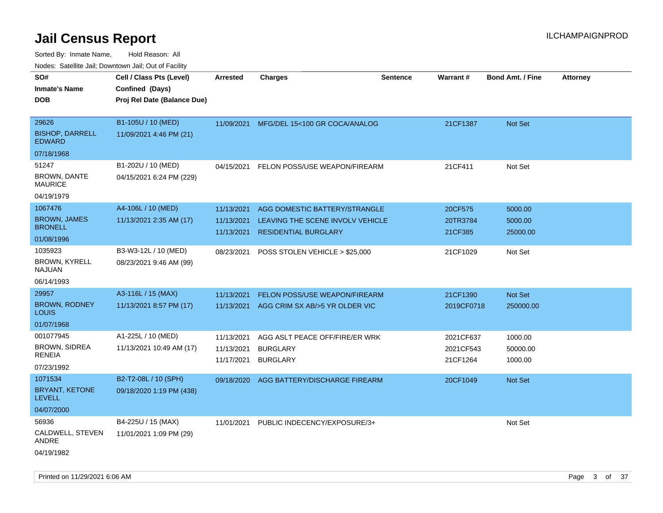Sorted By: Inmate Name, Hold Reason: All Nodes: Satellite Jail; Downtown Jail; Out of Facility

| SO#                              | Cell / Class Pts (Level)    | <b>Arrested</b> | <b>Charges</b>                           | <b>Sentence</b> | Warrant#   | <b>Bond Amt. / Fine</b> | <b>Attorney</b> |
|----------------------------------|-----------------------------|-----------------|------------------------------------------|-----------------|------------|-------------------------|-----------------|
| Inmate's Name                    | Confined (Days)             |                 |                                          |                 |            |                         |                 |
| DOB                              | Proj Rel Date (Balance Due) |                 |                                          |                 |            |                         |                 |
|                                  |                             |                 |                                          |                 |            |                         |                 |
| 29626                            | B1-105U / 10 (MED)          |                 | 11/09/2021 MFG/DEL 15<100 GR COCA/ANALOG |                 | 21CF1387   | <b>Not Set</b>          |                 |
| <b>BISHOP, DARRELL</b><br>EDWARD | 11/09/2021 4:46 PM (21)     |                 |                                          |                 |            |                         |                 |
| 07/18/1968                       |                             |                 |                                          |                 |            |                         |                 |
| 51247                            | B1-202U / 10 (MED)          | 04/15/2021      | FELON POSS/USE WEAPON/FIREARM            |                 | 21CF411    | Not Set                 |                 |
| <b>BROWN, DANTE</b><br>MAURICE   | 04/15/2021 6:24 PM (229)    |                 |                                          |                 |            |                         |                 |
| 04/19/1979                       |                             |                 |                                          |                 |            |                         |                 |
| 1067476                          | A4-106L / 10 (MED)          | 11/13/2021      | AGG DOMESTIC BATTERY/STRANGLE            |                 | 20CF575    | 5000.00                 |                 |
| <b>BROWN, JAMES</b>              | 11/13/2021 2:35 AM (17)     | 11/13/2021      | LEAVING THE SCENE INVOLV VEHICLE         |                 | 20TR3784   | 5000.00                 |                 |
| <b>BRONELL</b>                   |                             | 11/13/2021      | <b>RESIDENTIAL BURGLARY</b>              |                 | 21CF385    | 25000.00                |                 |
| 01/08/1996                       |                             |                 |                                          |                 |            |                         |                 |
| 1035923                          | B3-W3-12L / 10 (MED)        | 08/23/2021      | POSS STOLEN VEHICLE > \$25,000           |                 | 21CF1029   | Not Set                 |                 |
| BROWN, KYRELL<br>NAJUAN          | 08/23/2021 9:46 AM (99)     |                 |                                          |                 |            |                         |                 |
| 06/14/1993                       |                             |                 |                                          |                 |            |                         |                 |
| 29957                            | A3-116L / 15 (MAX)          | 11/13/2021      | FELON POSS/USE WEAPON/FIREARM            |                 | 21CF1390   | Not Set                 |                 |
| <b>BROWN, RODNEY</b><br>Louis    | 11/13/2021 8:57 PM (17)     | 11/13/2021      | AGG CRIM SX AB/>5 YR OLDER VIC           |                 | 2019CF0718 | 250000.00               |                 |
| 01/07/1968                       |                             |                 |                                          |                 |            |                         |                 |
| 001077945                        | A1-225L / 10 (MED)          | 11/13/2021      | AGG ASLT PEACE OFF/FIRE/ER WRK           |                 | 2021CF637  | 1000.00                 |                 |
| BROWN, SIDREA                    | 11/13/2021 10:49 AM (17)    | 11/13/2021      | <b>BURGLARY</b>                          |                 | 2021CF543  | 50000.00                |                 |
| RENEIA                           |                             | 11/17/2021      | <b>BURGLARY</b>                          |                 | 21CF1264   | 1000.00                 |                 |
| 07/23/1992                       |                             |                 |                                          |                 |            |                         |                 |
| 1071534                          | B2-T2-08L / 10 (SPH)        | 09/18/2020      | AGG BATTERY/DISCHARGE FIREARM            |                 | 20CF1049   | <b>Not Set</b>          |                 |
| BRYANT, KETONE<br>LEVELL         | 09/18/2020 1:19 PM (438)    |                 |                                          |                 |            |                         |                 |
| 04/07/2000                       |                             |                 |                                          |                 |            |                         |                 |
| 56936                            | B4-225U / 15 (MAX)          | 11/01/2021      | PUBLIC INDECENCY/EXPOSURE/3+             |                 |            | Not Set                 |                 |
| CALDWELL, STEVEN<br>ANDRE        | 11/01/2021 1:09 PM (29)     |                 |                                          |                 |            |                         |                 |
| 04/19/1982                       |                             |                 |                                          |                 |            |                         |                 |

Printed on 11/29/2021 6:06 AM **Page 3 of 37**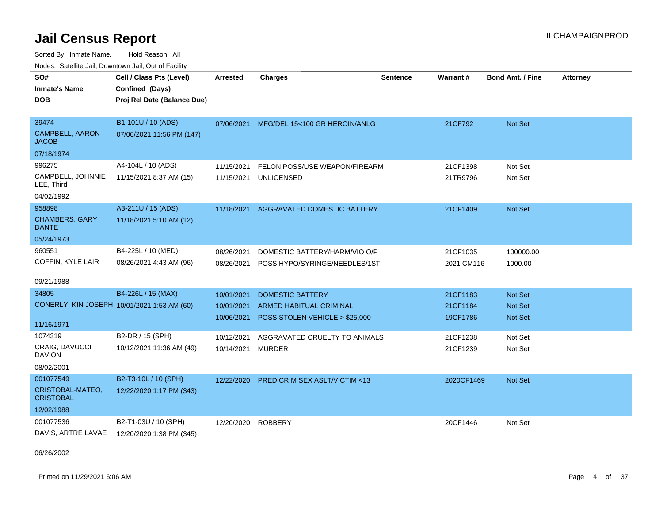Sorted By: Inmate Name, Hold Reason: All Nodes: Satellite Jail; Downtown Jail; Out of Facility

| SO#<br><b>Inmate's Name</b><br><b>DOB</b>                       | Cell / Class Pts (Level)<br>Confined (Days)<br>Proj Rel Date (Balance Due) | <b>Arrested</b>          | <b>Charges</b>                                                   | <b>Sentence</b> | Warrant#               | <b>Bond Amt. / Fine</b>   | <b>Attorney</b> |
|-----------------------------------------------------------------|----------------------------------------------------------------------------|--------------------------|------------------------------------------------------------------|-----------------|------------------------|---------------------------|-----------------|
| 39474<br>CAMPBELL, AARON<br><b>JACOB</b>                        | B1-101U / 10 (ADS)<br>07/06/2021 11:56 PM (147)                            | 07/06/2021               | MFG/DEL 15<100 GR HEROIN/ANLG                                    |                 | 21CF792                | <b>Not Set</b>            |                 |
| 07/18/1974                                                      |                                                                            |                          |                                                                  |                 |                        |                           |                 |
| 996275<br>CAMPBELL, JOHNNIE<br>LEE, Third<br>04/02/1992         | A4-104L / 10 (ADS)<br>11/15/2021 8:37 AM (15)                              | 11/15/2021<br>11/15/2021 | FELON POSS/USE WEAPON/FIREARM<br><b>UNLICENSED</b>               |                 | 21CF1398<br>21TR9796   | Not Set<br>Not Set        |                 |
| 958898<br><b>CHAMBERS, GARY</b><br><b>DANTE</b>                 | A3-211U / 15 (ADS)<br>11/18/2021 5:10 AM (12)                              | 11/18/2021               | AGGRAVATED DOMESTIC BATTERY                                      |                 | 21CF1409               | Not Set                   |                 |
| 05/24/1973<br>960551                                            |                                                                            |                          |                                                                  |                 |                        |                           |                 |
| COFFIN, KYLE LAIR                                               | B4-225L / 10 (MED)<br>08/26/2021 4:43 AM (96)                              | 08/26/2021<br>08/26/2021 | DOMESTIC BATTERY/HARM/VIO O/P<br>POSS HYPO/SYRINGE/NEEDLES/1ST   |                 | 21CF1035<br>2021 CM116 | 100000.00<br>1000.00      |                 |
| 09/21/1988                                                      |                                                                            |                          |                                                                  |                 |                        |                           |                 |
| 34805                                                           | B4-226L / 15 (MAX)                                                         | 10/01/2021               | <b>DOMESTIC BATTERY</b>                                          |                 | 21CF1183               | <b>Not Set</b>            |                 |
| CONERLY, KIN JOSEPH 10/01/2021 1:53 AM (60)<br>11/16/1971       |                                                                            | 10/01/2021<br>10/06/2021 | <b>ARMED HABITUAL CRIMINAL</b><br>POSS STOLEN VEHICLE > \$25,000 |                 | 21CF1184<br>19CF1786   | <b>Not Set</b><br>Not Set |                 |
| 1074319                                                         | B2-DR / 15 (SPH)                                                           | 10/12/2021               | AGGRAVATED CRUELTY TO ANIMALS                                    |                 | 21CF1238               | Not Set                   |                 |
| <b>CRAIG, DAVUCCI</b><br><b>DAVION</b>                          | 10/12/2021 11:36 AM (49)                                                   | 10/14/2021               | <b>MURDER</b>                                                    |                 | 21CF1239               | Not Set                   |                 |
| 08/02/2001                                                      |                                                                            |                          |                                                                  |                 |                        |                           |                 |
| 001077549<br>CRISTOBAL-MATEO,<br><b>CRISTOBAL</b><br>12/02/1988 | B2-T3-10L / 10 (SPH)<br>12/22/2020 1:17 PM (343)                           | 12/22/2020               | <b>PRED CRIM SEX ASLT/VICTIM &lt;13</b>                          |                 | 2020CF1469             | <b>Not Set</b>            |                 |
| 001077536                                                       | B2-T1-03U / 10 (SPH)                                                       |                          |                                                                  |                 |                        |                           |                 |
| DAVIS, ARTRE LAVAE                                              | 12/20/2020 1:38 PM (345)                                                   | 12/20/2020               | <b>ROBBERY</b>                                                   |                 | 20CF1446               | Not Set                   |                 |

06/26/2002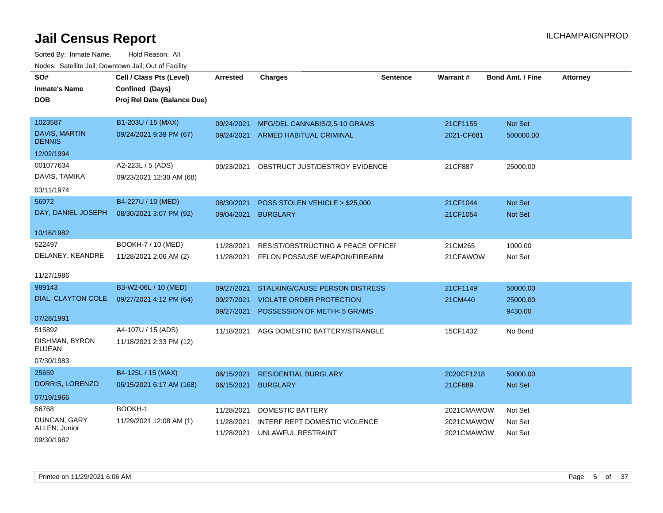| SO#                             | Cell / Class Pts (Level)    | <b>Arrested</b> | <b>Charges</b>                     | <b>Sentence</b> | <b>Warrant#</b> | Bond Amt. / Fine | <b>Attorney</b> |
|---------------------------------|-----------------------------|-----------------|------------------------------------|-----------------|-----------------|------------------|-----------------|
| <b>Inmate's Name</b>            | Confined (Days)             |                 |                                    |                 |                 |                  |                 |
| <b>DOB</b>                      | Proj Rel Date (Balance Due) |                 |                                    |                 |                 |                  |                 |
|                                 |                             |                 |                                    |                 |                 |                  |                 |
| 1023587                         | B1-203U / 15 (MAX)          | 09/24/2021      | MFG/DEL CANNABIS/2.5-10 GRAMS      |                 | 21CF1155        | Not Set          |                 |
| DAVIS, MARTIN<br><b>DENNIS</b>  | 09/24/2021 9:38 PM (67)     | 09/24/2021      | <b>ARMED HABITUAL CRIMINAL</b>     |                 | 2021-CF681      | 500000.00        |                 |
| 12/02/1994                      |                             |                 |                                    |                 |                 |                  |                 |
| 001077634                       | A2-223L / 5 (ADS)           | 09/23/2021      | OBSTRUCT JUST/DESTROY EVIDENCE     |                 | 21CF887         | 25000.00         |                 |
| DAVIS, TAMIKA                   | 09/23/2021 12:30 AM (68)    |                 |                                    |                 |                 |                  |                 |
| 03/11/1974                      |                             |                 |                                    |                 |                 |                  |                 |
| 56972                           | B4-227U / 10 (MED)          | 08/30/2021      | POSS STOLEN VEHICLE > \$25,000     |                 | 21CF1044        | Not Set          |                 |
| DAY, DANIEL JOSEPH              | 08/30/2021 3:07 PM (92)     | 09/04/2021      | <b>BURGLARY</b>                    |                 | 21CF1054        | <b>Not Set</b>   |                 |
|                                 |                             |                 |                                    |                 |                 |                  |                 |
| 10/16/1982                      |                             |                 |                                    |                 |                 |                  |                 |
| 522497                          | BOOKH-7 / 10 (MED)          | 11/28/2021      | RESIST/OBSTRUCTING A PEACE OFFICEI |                 | 21CM265         | 1000.00          |                 |
| DELANEY, KEANDRE                | 11/28/2021 2:06 AM (2)      | 11/28/2021      | FELON POSS/USE WEAPON/FIREARM      |                 | 21CFAWOW        | Not Set          |                 |
| 11/27/1986                      |                             |                 |                                    |                 |                 |                  |                 |
| 989143                          | B3-W2-06L / 10 (MED)        |                 |                                    |                 |                 |                  |                 |
| DIAL, CLAYTON COLE              |                             | 09/27/2021      | STALKING/CAUSE PERSON DISTRESS     |                 | 21CF1149        | 50000.00         |                 |
|                                 | 09/27/2021 4:12 PM (64)     | 09/27/2021      | <b>VIOLATE ORDER PROTECTION</b>    |                 | 21CM440         | 25000.00         |                 |
| 07/28/1991                      |                             | 09/27/2021      | POSSESSION OF METH<5 GRAMS         |                 |                 | 9430.00          |                 |
| 515892                          | A4-107U / 15 (ADS)          | 11/18/2021      | AGG DOMESTIC BATTERY/STRANGLE      |                 | 15CF1432        | No Bond          |                 |
| DISHMAN, BYRON<br><b>EUJEAN</b> | 11/18/2021 2:33 PM (12)     |                 |                                    |                 |                 |                  |                 |
| 07/30/1983                      |                             |                 |                                    |                 |                 |                  |                 |
| 25659                           | B4-125L / 15 (MAX)          | 06/15/2021      | <b>RESIDENTIAL BURGLARY</b>        |                 | 2020CF1218      | 50000.00         |                 |
| DORRIS, LORENZO                 | 06/15/2021 6:17 AM (168)    | 06/15/2021      | <b>BURGLARY</b>                    |                 | 21CF689         | <b>Not Set</b>   |                 |
| 07/19/1966                      |                             |                 |                                    |                 |                 |                  |                 |
| 56768                           | BOOKH-1                     | 11/28/2021      | <b>DOMESTIC BATTERY</b>            |                 | 2021CMAWOW      | Not Set          |                 |
| DUNCAN, GARY                    | 11/29/2021 12:08 AM (1)     | 11/28/2021      | INTERF REPT DOMESTIC VIOLENCE      |                 | 2021CMAWOW      | Not Set          |                 |
| ALLEN, Junior                   |                             | 11/28/2021      | UNLAWFUL RESTRAINT                 |                 | 2021CMAWOW      | Not Set          |                 |
| 09/30/1982                      |                             |                 |                                    |                 |                 |                  |                 |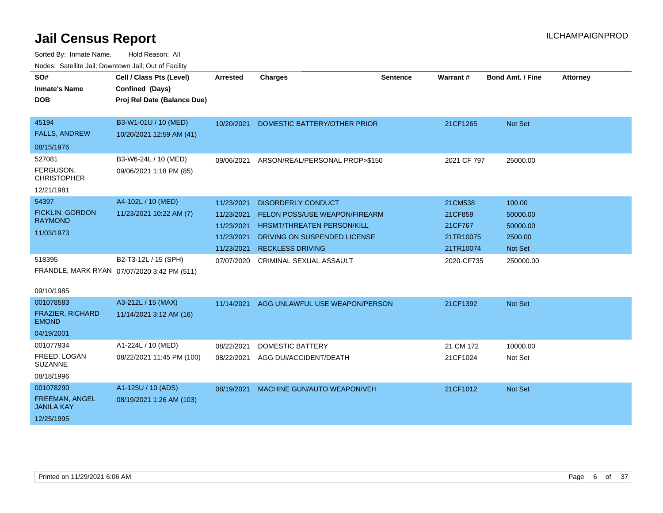| SO#<br><b>Inmate's Name</b><br><b>DOB</b>                                                | Cell / Class Pts (Level)<br>Confined (Days)<br>Proj Rel Date (Balance Due)                          | <b>Arrested</b>                                                    | <b>Charges</b>                                                                                                                                             | <b>Sentence</b> | <b>Warrant#</b>                                         | <b>Bond Amt. / Fine</b>                                     | <b>Attorney</b> |
|------------------------------------------------------------------------------------------|-----------------------------------------------------------------------------------------------------|--------------------------------------------------------------------|------------------------------------------------------------------------------------------------------------------------------------------------------------|-----------------|---------------------------------------------------------|-------------------------------------------------------------|-----------------|
| 45194<br><b>FALLS, ANDREW</b><br>08/15/1976<br>527081<br>FERGUSON.<br><b>CHRISTOPHER</b> | B3-W1-01U / 10 (MED)<br>10/20/2021 12:59 AM (41)<br>B3-W6-24L / 10 (MED)<br>09/06/2021 1:18 PM (85) | 10/20/2021<br>09/06/2021                                           | DOMESTIC BATTERY/OTHER PRIOR<br>ARSON/REAL/PERSONAL PROP>\$150                                                                                             |                 | 21CF1265<br>2021 CF 797                                 | Not Set<br>25000.00                                         |                 |
| 12/21/1981                                                                               |                                                                                                     |                                                                    |                                                                                                                                                            |                 |                                                         |                                                             |                 |
| 54397<br><b>FICKLIN, GORDON</b><br><b>RAYMOND</b><br>11/03/1973                          | A4-102L / 10 (MED)<br>11/23/2021 10:22 AM (7)                                                       | 11/23/2021<br>11/23/2021<br>11/23/2021<br>11/23/2021<br>11/23/2021 | <b>DISORDERLY CONDUCT</b><br><b>FELON POSS/USE WEAPON/FIREARM</b><br>HRSMT/THREATEN PERSON/KILL<br>DRIVING ON SUSPENDED LICENSE<br><b>RECKLESS DRIVING</b> |                 | 21CM538<br>21CF859<br>21CF767<br>21TR10075<br>21TR10074 | 100.00<br>50000.00<br>50000.00<br>2500.00<br><b>Not Set</b> |                 |
| 518395<br>09/10/1985                                                                     | B2-T3-12L / 15 (SPH)<br>FRANDLE, MARK RYAN 07/07/2020 3:42 PM (511)                                 | 07/07/2020                                                         | <b>CRIMINAL SEXUAL ASSAULT</b>                                                                                                                             |                 | 2020-CF735                                              | 250000.00                                                   |                 |
| 001078583<br>FRAZIER, RICHARD<br><b>EMOND</b><br>04/19/2001                              | A3-212L / 15 (MAX)<br>11/14/2021 3:12 AM (16)                                                       | 11/14/2021                                                         | AGG UNLAWFUL USE WEAPON/PERSON                                                                                                                             |                 | 21CF1392                                                | Not Set                                                     |                 |
| 001077934<br>FREED, LOGAN<br><b>SUZANNE</b><br>08/18/1996                                | A1-224L / 10 (MED)<br>08/22/2021 11:45 PM (100)                                                     | 08/22/2021<br>08/22/2021                                           | <b>DOMESTIC BATTERY</b><br>AGG DUI/ACCIDENT/DEATH                                                                                                          |                 | 21 CM 172<br>21CF1024                                   | 10000.00<br>Not Set                                         |                 |
| 001078290<br>FREEMAN, ANGEL<br><b>JANILA KAY</b><br>12/25/1995                           | A1-125U / 10 (ADS)<br>08/19/2021 1:26 AM (103)                                                      | 08/19/2021                                                         | MACHINE GUN/AUTO WEAPON/VEH                                                                                                                                |                 | 21CF1012                                                | Not Set                                                     |                 |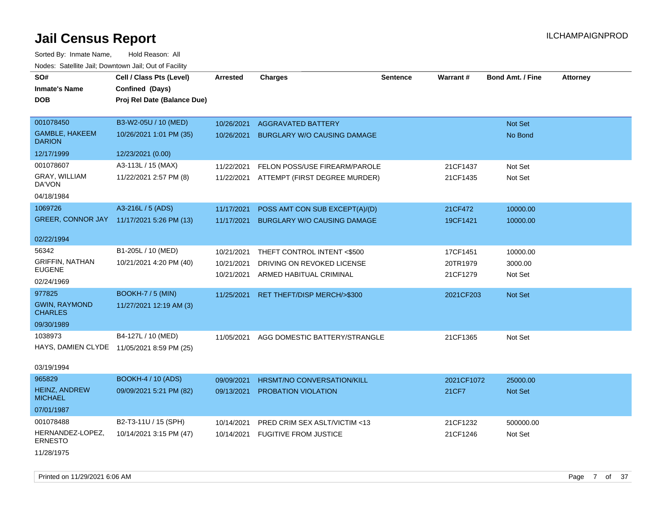**DOB SO# Inmate's Name Cell / Class Pts (Level) Arrested Charges Warrant # Bond Amt. / Fine Attorney Confined (Days) Sentence Proj Rel Date (Balance Due)** GAMBLE, HAKEEM **DARION** 001078450 B3-W2-05U / 10 (MED) 10/26/2021 1:01 PM (35) 12/17/1999 12/23/2021 (0.00) 10/26/2021 AGGRAVATED BATTERY Not Set Not Set Not Set Not Set Not Set Not Set Not Set Not Set Not Set Not Set 10/26/2021 BURGLARY W/O CAUSING DAMAGE NO Bond No Bond GRAY, WILLIAM DA'VON 001078607 A3-113L / 15 (MAX) 11/22/2021 2:57 PM (8) 04/18/1984 11/22/2021 FELON POSS/USE FIREARM/PAROLE 21CF1437 Not Set 11/22/2021 ATTEMPT (FIRST DEGREE MURDER) 21CF1435 Not Set GREER, CONNOR JAY 11/17/2021 5:26 PM (13) 1069726 A3-216L / 5 (ADS) 02/22/1994 11/17/2021 POSS AMT CON SUB EXCEPT(A)/(D) 21CF472 10000.00 11/17/2021 BURGLARY W/O CAUSING DAMAGE 19CF1421 10000.00 GRIFFIN, NATHAN EUGENE 56342 B1-205L / 10 (MED) 10/21/2021 4:20 PM (40) 02/24/1969 10/21/2021 THEFT CONTROL INTENT <\$500 17CF1451 10000.00 10/21/2021 DRIVING ON REVOKED LICENSE 20TR1979 3000.00 10/21/2021 ARMED HABITUAL CRIMINAL 21CF1279 Not Set GWIN, RAYMOND **CHARLES** 977825 BOOKH-7 / 5 (MIN) 11/27/2021 12:19 AM (3) 09/30/1989 11/25/2021 RET THEFT/DISP MERCH/>\$300 2021CF203 Not Set HAYS, DAMIEN CLYDE 11/05/2021 8:59 PM (25) 1038973 B4-127L / 10 (MED) 03/19/1994 11/05/2021 AGG DOMESTIC BATTERY/STRANGLE 21CF1365 Not Set 965829 BOOKH-4 / 10 (ADS) Sorted By: Inmate Name, Hold Reason: All Nodes: Satellite Jail; Downtown Jail; Out of Facility

HEINZ, ANDREW **MICHAEL** 09/09/2021 5:21 PM (82) 07/01/1987 09/09/2021 HRSMT/NO CONVERSATION/KILL 2021CF1072 25000.00 09/13/2021 PROBATION VIOLATION 2001 2002 21 22 21 CF7 Not Set HERNANDEZ-LOPEZ, ERNESTO 001078488 B2-T3-11U / 15 (SPH) 10/14/2021 3:15 PM (47) 10/14/2021 PRED CRIM SEX ASLT/VICTIM <13 21CF1232 500000.00 10/14/2021 FUGITIVE FROM JUSTICE 21CF1246 Not Set

11/28/1975

Printed on 11/29/2021 6:06 AM **Page 7** of 37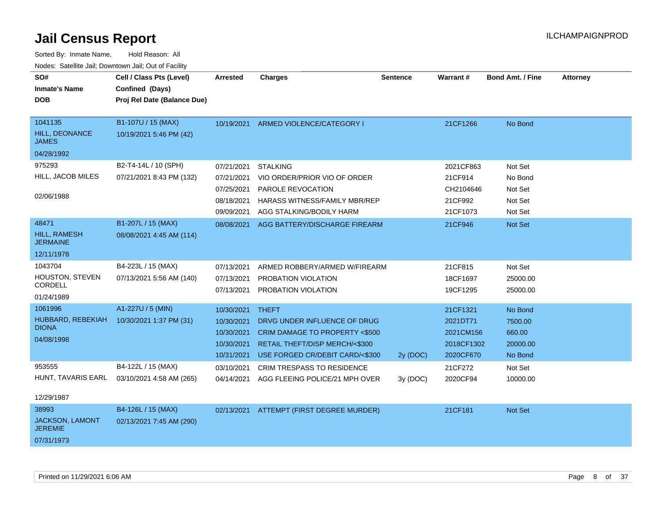| SO#<br><b>Inmate's Name</b><br><b>DOB</b>                       | Cell / Class Pts (Level)<br>Confined (Days)<br>Proj Rel Date (Balance Due) | <b>Arrested</b>                                                    | <b>Charges</b>                                                                                                                                                | Sentence | Warrant#                                                     | <b>Bond Amt. / Fine</b>                             | <b>Attorney</b> |
|-----------------------------------------------------------------|----------------------------------------------------------------------------|--------------------------------------------------------------------|---------------------------------------------------------------------------------------------------------------------------------------------------------------|----------|--------------------------------------------------------------|-----------------------------------------------------|-----------------|
| 1041135<br>HILL, DEONANCE<br><b>JAMES</b>                       | B1-107U / 15 (MAX)<br>10/19/2021 5:46 PM (42)                              |                                                                    | 10/19/2021 ARMED VIOLENCE/CATEGORY I                                                                                                                          |          | 21CF1266                                                     | No Bond                                             |                 |
| 04/28/1992<br>975293<br>HILL, JACOB MILES<br>02/06/1988         | B2-T4-14L / 10 (SPH)<br>07/21/2021 8:43 PM (132)                           | 07/21/2021<br>07/21/2021<br>07/25/2021<br>08/18/2021               | <b>STALKING</b><br>VIO ORDER/PRIOR VIO OF ORDER<br><b>PAROLE REVOCATION</b><br><b>HARASS WITNESS/FAMILY MBR/REP</b>                                           |          | 2021CF863<br>21CF914<br>CH2104646<br>21CF992                 | Not Set<br>No Bond<br>Not Set<br>Not Set            |                 |
| 48471<br><b>HILL, RAMESH</b><br><b>JERMAINE</b><br>12/11/1978   | B1-207L / 15 (MAX)<br>08/08/2021 4:45 AM (114)                             | 09/09/2021<br>08/08/2021                                           | AGG STALKING/BODILY HARM<br>AGG BATTERY/DISCHARGE FIREARM                                                                                                     |          | 21CF1073<br>21CF946                                          | Not Set<br>Not Set                                  |                 |
| 1043704<br>HOUSTON, STEVEN<br>CORDELL<br>01/24/1989             | B4-223L / 15 (MAX)<br>07/13/2021 5:56 AM (140)                             | 07/13/2021<br>07/13/2021<br>07/13/2021                             | ARMED ROBBERY/ARMED W/FIREARM<br>PROBATION VIOLATION<br>PROBATION VIOLATION                                                                                   |          | 21CF815<br>18CF1697<br>19CF1295                              | Not Set<br>25000.00<br>25000.00                     |                 |
| 1061996<br>HUBBARD, REBEKIAH<br><b>DIONA</b><br>04/08/1998      | A1-227U / 5 (MIN)<br>10/30/2021 1:37 PM (31)                               | 10/30/2021<br>10/30/2021<br>10/30/2021<br>10/30/2021<br>10/31/2021 | <b>THEFT</b><br>DRVG UNDER INFLUENCE OF DRUG<br><b>CRIM DAMAGE TO PROPERTY &lt;\$500</b><br>RETAIL THEFT/DISP MERCH/<\$300<br>USE FORGED CR/DEBIT CARD/<\$300 | 2y (DOC) | 21CF1321<br>2021DT71<br>2021CM156<br>2018CF1302<br>2020CF670 | No Bond<br>7500.00<br>660.00<br>20000.00<br>No Bond |                 |
| 953555<br>HUNT, TAVARIS EARL<br>12/29/1987                      | B4-122L / 15 (MAX)<br>03/10/2021 4:58 AM (265)                             | 03/10/2021<br>04/14/2021                                           | CRIM TRESPASS TO RESIDENCE<br>AGG FLEEING POLICE/21 MPH OVER                                                                                                  | 3y(DOC)  | 21CF272<br>2020CF94                                          | Not Set<br>10000.00                                 |                 |
| 38993<br><b>JACKSON, LAMONT</b><br><b>JEREMIE</b><br>07/31/1973 | B4-126L / 15 (MAX)<br>02/13/2021 7:45 AM (290)                             |                                                                    | 02/13/2021 ATTEMPT (FIRST DEGREE MURDER)                                                                                                                      |          | 21CF181                                                      | Not Set                                             |                 |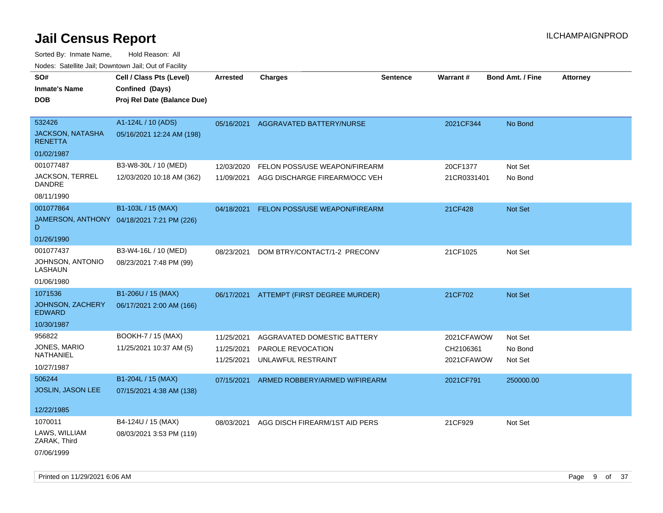| roaco. Odichile Jan, Downtown Jan, Out of Facility  |                                                                            |                 |                                          |                 |                 |                         |                 |
|-----------------------------------------------------|----------------------------------------------------------------------------|-----------------|------------------------------------------|-----------------|-----------------|-------------------------|-----------------|
| SO#<br><b>Inmate's Name</b><br><b>DOB</b>           | Cell / Class Pts (Level)<br>Confined (Days)<br>Proj Rel Date (Balance Due) | <b>Arrested</b> | <b>Charges</b>                           | <b>Sentence</b> | <b>Warrant#</b> | <b>Bond Amt. / Fine</b> | <b>Attorney</b> |
| 532426<br><b>JACKSON, NATASHA</b><br><b>RENETTA</b> | A1-124L / 10 (ADS)<br>05/16/2021 12:24 AM (198)                            |                 | 05/16/2021 AGGRAVATED BATTERY/NURSE      |                 | 2021CF344       | No Bond                 |                 |
| 01/02/1987                                          |                                                                            |                 |                                          |                 |                 |                         |                 |
| 001077487                                           | B3-W8-30L / 10 (MED)                                                       | 12/03/2020      | FELON POSS/USE WEAPON/FIREARM            |                 | 20CF1377        | Not Set                 |                 |
| JACKSON, TERREL<br>DANDRE                           | 12/03/2020 10:18 AM (362)                                                  | 11/09/2021      | AGG DISCHARGE FIREARM/OCC VEH            |                 | 21CR0331401     | No Bond                 |                 |
| 08/11/1990                                          |                                                                            |                 |                                          |                 |                 |                         |                 |
| 001077864                                           | B1-103L / 15 (MAX)                                                         | 04/18/2021      | FELON POSS/USE WEAPON/FIREARM            |                 | 21CF428         | Not Set                 |                 |
| D                                                   | JAMERSON, ANTHONY 04/18/2021 7:21 PM (226)                                 |                 |                                          |                 |                 |                         |                 |
| 01/26/1990                                          |                                                                            |                 |                                          |                 |                 |                         |                 |
| 001077437                                           | B3-W4-16L / 10 (MED)                                                       | 08/23/2021      | DOM BTRY/CONTACT/1-2 PRECONV             |                 | 21CF1025        | Not Set                 |                 |
| JOHNSON, ANTONIO<br>LASHAUN                         | 08/23/2021 7:48 PM (99)                                                    |                 |                                          |                 |                 |                         |                 |
| 01/06/1980                                          |                                                                            |                 |                                          |                 |                 |                         |                 |
| 1071536                                             | B1-206U / 15 (MAX)                                                         |                 | 06/17/2021 ATTEMPT (FIRST DEGREE MURDER) |                 | 21CF702         | Not Set                 |                 |
| JOHNSON, ZACHERY<br><b>EDWARD</b>                   | 06/17/2021 2:00 AM (166)                                                   |                 |                                          |                 |                 |                         |                 |
| 10/30/1987                                          |                                                                            |                 |                                          |                 |                 |                         |                 |
| 956822                                              | BOOKH-7 / 15 (MAX)                                                         | 11/25/2021      | AGGRAVATED DOMESTIC BATTERY              |                 | 2021CFAWOW      | Not Set                 |                 |
| JONES, MARIO                                        | 11/25/2021 10:37 AM (5)                                                    | 11/25/2021      | PAROLE REVOCATION                        |                 | CH2106361       | No Bond                 |                 |
| NATHANIEL                                           |                                                                            | 11/25/2021      | UNLAWFUL RESTRAINT                       |                 | 2021CFAWOW      | Not Set                 |                 |
| 10/27/1987                                          |                                                                            |                 |                                          |                 |                 |                         |                 |
| 506244                                              | B1-204L / 15 (MAX)                                                         | 07/15/2021      | ARMED ROBBERY/ARMED W/FIREARM            |                 | 2021CF791       | 250000.00               |                 |
| JOSLIN, JASON LEE                                   | 07/15/2021 4:38 AM (138)                                                   |                 |                                          |                 |                 |                         |                 |
| 12/22/1985                                          |                                                                            |                 |                                          |                 |                 |                         |                 |
| 1070011                                             | B4-124U / 15 (MAX)                                                         | 08/03/2021      | AGG DISCH FIREARM/1ST AID PERS           |                 | 21CF929         | Not Set                 |                 |
| LAWS, WILLIAM<br>ZARAK, Third                       | 08/03/2021 3:53 PM (119)                                                   |                 |                                          |                 |                 |                         |                 |
| 07/06/1999                                          |                                                                            |                 |                                          |                 |                 |                         |                 |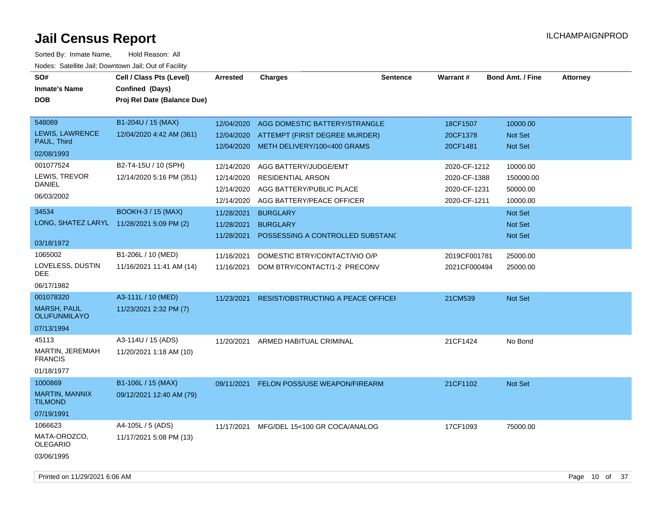| SO#<br><b>Inmate's Name</b><br><b>DOB</b>                        | Cell / Class Pts (Level)<br>Confined (Days)<br>Proj Rel Date (Balance Due) | Arrested                                             | <b>Charges</b>                                                                                             | <b>Sentence</b> | <b>Warrant#</b>                                              | <b>Bond Amt. / Fine</b>                       | <b>Attorney</b> |
|------------------------------------------------------------------|----------------------------------------------------------------------------|------------------------------------------------------|------------------------------------------------------------------------------------------------------------|-----------------|--------------------------------------------------------------|-----------------------------------------------|-----------------|
| 548089<br>LEWIS, LAWRENCE<br>PAUL, Third<br>02/08/1993           | B1-204U / 15 (MAX)<br>12/04/2020 4:42 AM (361)                             | 12/04/2020<br>12/04/2020<br>12/04/2020               | AGG DOMESTIC BATTERY/STRANGLE<br>ATTEMPT (FIRST DEGREE MURDER)<br>METH DELIVERY/100<400 GRAMS              |                 | 18CF1507<br>20CF1378<br>20CF1481                             | 10000.00<br>Not Set<br>Not Set                |                 |
| 001077524<br>LEWIS, TREVOR<br><b>DANIEL</b><br>06/03/2002        | B2-T4-15U / 10 (SPH)<br>12/14/2020 5:16 PM (351)                           | 12/14/2020<br>12/14/2020<br>12/14/2020<br>12/14/2020 | AGG BATTERY/JUDGE/EMT<br><b>RESIDENTIAL ARSON</b><br>AGG BATTERY/PUBLIC PLACE<br>AGG BATTERY/PEACE OFFICER |                 | 2020-CF-1212<br>2020-CF-1388<br>2020-CF-1231<br>2020-CF-1211 | 10000.00<br>150000.00<br>50000.00<br>10000.00 |                 |
| 34534<br>LONG, SHATEZ LARYL 11/28/2021 5:09 PM (2)<br>03/18/1972 | <b>BOOKH-3 / 15 (MAX)</b>                                                  | 11/28/2021<br>11/28/2021<br>11/28/2021               | <b>BURGLARY</b><br><b>BURGLARY</b><br>POSSESSING A CONTROLLED SUBSTANC                                     |                 |                                                              | Not Set<br>Not Set<br>Not Set                 |                 |
| 1065002<br>LOVELESS, DUSTIN<br>DEE<br>06/17/1982                 | B1-206L / 10 (MED)<br>11/16/2021 11:41 AM (14)                             | 11/16/2021<br>11/16/2021                             | DOMESTIC BTRY/CONTACT/VIO O/P<br>DOM BTRY/CONTACT/1-2 PRECONV                                              |                 | 2019CF001781<br>2021CF000494                                 | 25000.00<br>25000.00                          |                 |
| 001078320<br>MARSH, PAUL<br><b>OLUFUNMILAYO</b><br>07/13/1994    | A3-111L / 10 (MED)<br>11/23/2021 2:32 PM (7)                               | 11/23/2021                                           | <b>RESIST/OBSTRUCTING A PEACE OFFICEF</b>                                                                  |                 | 21CM539                                                      | Not Set                                       |                 |
| 45113<br>MARTIN, JEREMIAH<br><b>FRANCIS</b><br>01/18/1977        | A3-114U / 15 (ADS)<br>11/20/2021 1:18 AM (10)                              | 11/20/2021                                           | ARMED HABITUAL CRIMINAL                                                                                    |                 | 21CF1424                                                     | No Bond                                       |                 |
| 1000869<br><b>MARTIN, MANNIX</b><br><b>TILMOND</b><br>07/19/1991 | B1-106L / 15 (MAX)<br>09/12/2021 12:40 AM (79)                             | 09/11/2021                                           | <b>FELON POSS/USE WEAPON/FIREARM</b>                                                                       |                 | 21CF1102                                                     | <b>Not Set</b>                                |                 |
| 1066623<br>MATA-OROZCO,<br><b>OLEGARIO</b><br>03/06/1995         | A4-105L / 5 (ADS)<br>11/17/2021 5:08 PM (13)                               | 11/17/2021                                           | MFG/DEL 15<100 GR COCA/ANALOG                                                                              |                 | 17CF1093                                                     | 75000.00                                      |                 |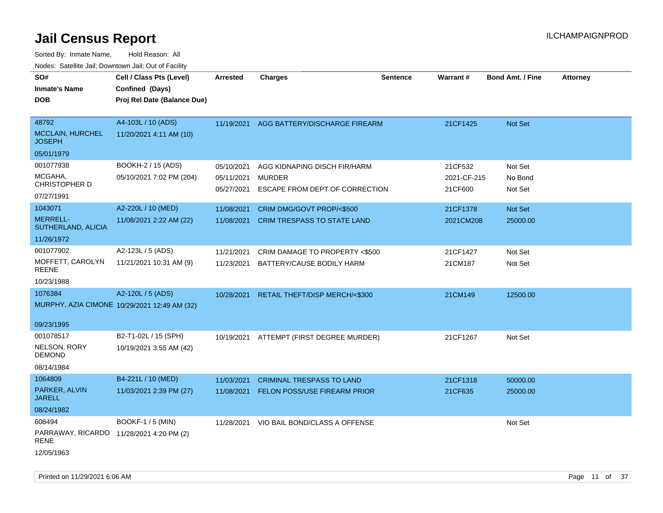| SO#<br>Inmate's Name<br><b>DOB</b>                         | Cell / Class Pts (Level)<br>Confined (Days)<br>Proj Rel Date (Balance Due) | <b>Arrested</b>                        | <b>Charges</b>                                                                  | <b>Sentence</b> | Warrant#                          | <b>Bond Amt. / Fine</b>       | <b>Attorney</b> |
|------------------------------------------------------------|----------------------------------------------------------------------------|----------------------------------------|---------------------------------------------------------------------------------|-----------------|-----------------------------------|-------------------------------|-----------------|
| 48792<br><b>MCCLAIN, HURCHEL</b><br><b>JOSEPH</b>          | A4-103L / 10 (ADS)<br>11/20/2021 4:11 AM (10)                              | 11/19/2021                             | AGG BATTERY/DISCHARGE FIREARM                                                   |                 | 21CF1425                          | Not Set                       |                 |
| 05/01/1979                                                 |                                                                            |                                        |                                                                                 |                 |                                   |                               |                 |
| 001077938<br>MCGAHA,<br><b>CHRISTOPHER D</b><br>07/27/1991 | BOOKH-2 / 15 (ADS)<br>05/10/2021 7:02 PM (204)                             | 05/10/2021<br>05/11/2021<br>05/27/2021 | AGG KIDNAPING DISCH FIR/HARM<br><b>MURDER</b><br>ESCAPE FROM DEPT OF CORRECTION |                 | 21CF532<br>2021-CF-215<br>21CF600 | Not Set<br>No Bond<br>Not Set |                 |
| 1043071                                                    | A2-220L / 10 (MED)                                                         | 11/08/2021                             | CRIM DMG/GOVT PROP/<\$500                                                       |                 | 21CF1378                          | Not Set                       |                 |
| MERRELL-<br>SUTHERLAND, ALICIA                             | 11/08/2021 2:22 AM (22)                                                    | 11/08/2021                             | <b>CRIM TRESPASS TO STATE LAND</b>                                              |                 | 2021CM208                         | 25000.00                      |                 |
| 11/26/1972                                                 |                                                                            |                                        |                                                                                 |                 |                                   |                               |                 |
| 001077902<br>MOFFETT, CAROLYN<br>REENE                     | A2-123L / 5 (ADS)<br>11/21/2021 10:31 AM (9)                               | 11/21/2021<br>11/23/2021               | CRIM DAMAGE TO PROPERTY <\$500<br>BATTERY/CAUSE BODILY HARM                     |                 | 21CF1427<br>21CM187               | Not Set<br>Not Set            |                 |
| 10/23/1988                                                 |                                                                            |                                        |                                                                                 |                 |                                   |                               |                 |
| 1076384                                                    | A2-120L / 5 (ADS)<br>MURPHY, AZIA CIMONE 10/29/2021 12:49 AM (32)          | 10/28/2021                             | RETAIL THEFT/DISP MERCH/<\$300                                                  |                 | 21CM149                           | 12500.00                      |                 |
| 09/23/1995                                                 |                                                                            |                                        |                                                                                 |                 |                                   |                               |                 |
| 001078517<br>NELSON, RORY<br><b>DEMOND</b><br>08/14/1984   | B2-T1-02L / 15 (SPH)<br>10/19/2021 3:55 AM (42)                            | 10/19/2021                             | ATTEMPT (FIRST DEGREE MURDER)                                                   |                 | 21CF1267                          | Not Set                       |                 |
| 1064809                                                    | B4-221L / 10 (MED)                                                         | 11/03/2021                             | <b>CRIMINAL TRESPASS TO LAND</b>                                                |                 | 21CF1318                          | 50000.00                      |                 |
| PARKER, ALVIN<br><b>JARELL</b>                             | 11/03/2021 2:39 PM (27)                                                    | 11/08/2021                             | <b>FELON POSS/USE FIREARM PRIOR</b>                                             |                 | 21CF635                           | 25000.00                      |                 |
| 08/24/1982                                                 |                                                                            |                                        |                                                                                 |                 |                                   |                               |                 |
| 608494<br>PARRAWAY, RICARDO 11/28/2021 4:20 PM (2)<br>RENE | <b>BOOKF-1 / 5 (MIN)</b>                                                   | 11/28/2021                             | VIO BAIL BOND/CLASS A OFFENSE                                                   |                 |                                   | Not Set                       |                 |
| 12/05/1963                                                 |                                                                            |                                        |                                                                                 |                 |                                   |                               |                 |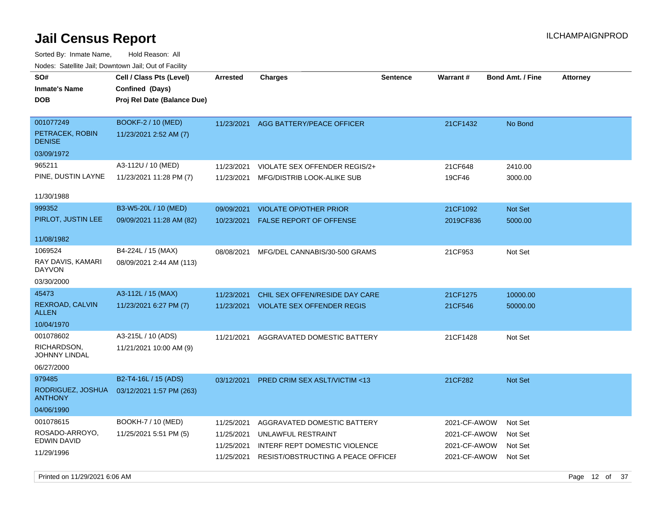Sorted By: Inmate Name, Hold Reason: All Nodes: Satellite Jail; Downtown Jail; Out of Facility

| SO#<br><b>Inmate's Name</b><br><b>DOB</b>                      | Cell / Class Pts (Level)<br>Confined (Days)<br>Proj Rel Date (Balance Due) | <b>Arrested</b>                                      | <b>Charges</b>                                                                                                           | Sentence | Warrant#                                                     | <b>Bond Amt. / Fine</b>                  | <b>Attorney</b> |
|----------------------------------------------------------------|----------------------------------------------------------------------------|------------------------------------------------------|--------------------------------------------------------------------------------------------------------------------------|----------|--------------------------------------------------------------|------------------------------------------|-----------------|
| 001077249<br>PETRACEK, ROBIN<br><b>DENISE</b>                  | BOOKF-2 / 10 (MED)<br>11/23/2021 2:52 AM (7)                               | 11/23/2021                                           | AGG BATTERY/PEACE OFFICER                                                                                                |          | 21CF1432                                                     | No Bond                                  |                 |
| 03/09/1972                                                     |                                                                            |                                                      |                                                                                                                          |          |                                                              |                                          |                 |
| 965211                                                         | A3-112U / 10 (MED)                                                         | 11/23/2021                                           | VIOLATE SEX OFFENDER REGIS/2+                                                                                            |          | 21CF648                                                      | 2410.00                                  |                 |
| PINE, DUSTIN LAYNE                                             | 11/23/2021 11:28 PM (7)                                                    | 11/23/2021                                           | MFG/DISTRIB LOOK-ALIKE SUB                                                                                               |          | 19CF46                                                       | 3000.00                                  |                 |
| 11/30/1988                                                     |                                                                            |                                                      |                                                                                                                          |          |                                                              |                                          |                 |
| 999352                                                         | B3-W5-20L / 10 (MED)                                                       | 09/09/2021                                           | <b>VIOLATE OP/OTHER PRIOR</b>                                                                                            |          | 21CF1092                                                     | Not Set                                  |                 |
| PIRLOT, JUSTIN LEE                                             | 09/09/2021 11:28 AM (82)                                                   | 10/23/2021                                           | <b>FALSE REPORT OF OFFENSE</b>                                                                                           |          | 2019CF836                                                    | 5000.00                                  |                 |
| 11/08/1982                                                     |                                                                            |                                                      |                                                                                                                          |          |                                                              |                                          |                 |
| 1069524                                                        | B4-224L / 15 (MAX)                                                         | 08/08/2021                                           | MFG/DEL CANNABIS/30-500 GRAMS                                                                                            |          | 21CF953                                                      | Not Set                                  |                 |
| RAY DAVIS, KAMARI<br><b>DAYVON</b>                             | 08/09/2021 2:44 AM (113)                                                   |                                                      |                                                                                                                          |          |                                                              |                                          |                 |
| 03/30/2000                                                     |                                                                            |                                                      |                                                                                                                          |          |                                                              |                                          |                 |
| 45473                                                          | A3-112L / 15 (MAX)                                                         | 11/23/2021                                           | CHIL SEX OFFEN/RESIDE DAY CARE                                                                                           |          | 21CF1275                                                     | 10000.00                                 |                 |
| REXROAD, CALVIN<br><b>ALLEN</b>                                | 11/23/2021 6:27 PM (7)                                                     | 11/23/2021                                           | <b>VIOLATE SEX OFFENDER REGIS</b>                                                                                        |          | 21CF546                                                      | 50000.00                                 |                 |
| 10/04/1970                                                     |                                                                            |                                                      |                                                                                                                          |          |                                                              |                                          |                 |
| 001078602<br>RICHARDSON,<br><b>JOHNNY LINDAL</b><br>06/27/2000 | A3-215L / 10 (ADS)<br>11/21/2021 10:00 AM (9)                              | 11/21/2021                                           | AGGRAVATED DOMESTIC BATTERY                                                                                              |          | 21CF1428                                                     | Not Set                                  |                 |
| 979485                                                         | B2-T4-16L / 15 (ADS)                                                       | 03/12/2021                                           | <b>PRED CRIM SEX ASLT/VICTIM &lt;13</b>                                                                                  |          | 21CF282                                                      | Not Set                                  |                 |
| RODRIGUEZ, JOSHUA<br><b>ANTHONY</b>                            | 03/12/2021 1:57 PM (263)                                                   |                                                      |                                                                                                                          |          |                                                              |                                          |                 |
| 04/06/1990                                                     |                                                                            |                                                      |                                                                                                                          |          |                                                              |                                          |                 |
| 001078615<br>ROSADO-ARROYO,<br>EDWIN DAVID<br>11/29/1996       | BOOKH-7 / 10 (MED)<br>11/25/2021 5:51 PM (5)                               | 11/25/2021<br>11/25/2021<br>11/25/2021<br>11/25/2021 | AGGRAVATED DOMESTIC BATTERY<br>UNLAWFUL RESTRAINT<br>INTERF REPT DOMESTIC VIOLENCE<br>RESIST/OBSTRUCTING A PEACE OFFICEL |          | 2021-CF-AWOW<br>2021-CF-AWOW<br>2021-CF-AWOW<br>2021-CF-AWOW | Not Set<br>Not Set<br>Not Set<br>Not Set |                 |

Printed on 11/29/2021 6:06 AM Page 12 of 37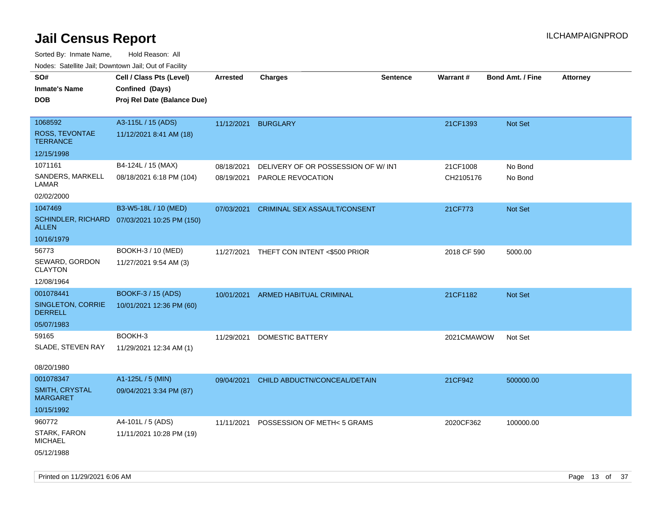| SO#<br><b>Inmate's Name</b><br><b>DOB</b>                      | Cell / Class Pts (Level)<br>Confined (Days)<br>Proj Rel Date (Balance Due) | <b>Arrested</b>          | <b>Charges</b>                                                 | <b>Sentence</b> | <b>Warrant#</b>       | <b>Bond Amt. / Fine</b> | <b>Attorney</b> |
|----------------------------------------------------------------|----------------------------------------------------------------------------|--------------------------|----------------------------------------------------------------|-----------------|-----------------------|-------------------------|-----------------|
| 1068592<br>ROSS, TEVONTAE<br><b>TERRANCE</b>                   | A3-115L / 15 (ADS)<br>11/12/2021 8:41 AM (18)                              | 11/12/2021               | <b>BURGLARY</b>                                                |                 | 21CF1393              | Not Set                 |                 |
| 12/15/1998                                                     |                                                                            |                          |                                                                |                 |                       |                         |                 |
| 1071161<br>SANDERS, MARKELL<br>LAMAR<br>02/02/2000             | B4-124L / 15 (MAX)<br>08/18/2021 6:18 PM (104)                             | 08/18/2021<br>08/19/2021 | DELIVERY OF OR POSSESSION OF W/INT<br><b>PAROLE REVOCATION</b> |                 | 21CF1008<br>CH2105176 | No Bond<br>No Bond      |                 |
| 1047469<br><b>ALLEN</b>                                        | B3-W5-18L / 10 (MED)<br>SCHINDLER, RICHARD 07/03/2021 10:25 PM (150)       | 07/03/2021               | CRIMINAL SEX ASSAULT/CONSENT                                   |                 | 21CF773               | Not Set                 |                 |
| 10/16/1979<br>56773<br>SEWARD, GORDON<br><b>CLAYTON</b>        | BOOKH-3 / 10 (MED)<br>11/27/2021 9:54 AM (3)                               |                          | 11/27/2021 THEFT CON INTENT <\$500 PRIOR                       |                 | 2018 CF 590           | 5000.00                 |                 |
| 12/08/1964                                                     |                                                                            |                          |                                                                |                 |                       |                         |                 |
| 001078441<br>SINGLETON, CORRIE<br><b>DERRELL</b><br>05/07/1983 | <b>BOOKF-3 / 15 (ADS)</b><br>10/01/2021 12:36 PM (60)                      | 10/01/2021               | ARMED HABITUAL CRIMINAL                                        |                 | 21CF1182              | Not Set                 |                 |
| 59165<br>SLADE, STEVEN RAY<br>08/20/1980                       | BOOKH-3<br>11/29/2021 12:34 AM (1)                                         | 11/29/2021               | DOMESTIC BATTERY                                               |                 | 2021CMAWOW            | Not Set                 |                 |
| 001078347<br>SMITH, CRYSTAL<br><b>MARGARET</b><br>10/15/1992   | A1-125L / 5 (MIN)<br>09/04/2021 3:34 PM (87)                               | 09/04/2021               | CHILD ABDUCTN/CONCEAL/DETAIN                                   |                 | 21CF942               | 500000.00               |                 |
| 960772<br>STARK, FARON<br><b>MICHAEL</b><br>05/12/1988         | A4-101L / 5 (ADS)<br>11/11/2021 10:28 PM (19)                              | 11/11/2021               | POSSESSION OF METH< 5 GRAMS                                    |                 | 2020CF362             | 100000.00               |                 |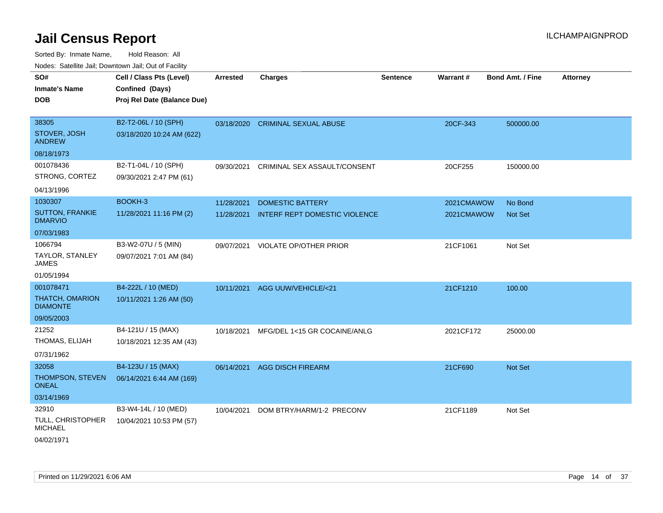| roaco. Catolino dall, Downtown dall, Out of Fability |                                                                            |                 |                                   |                 |                 |                         |                 |
|------------------------------------------------------|----------------------------------------------------------------------------|-----------------|-----------------------------------|-----------------|-----------------|-------------------------|-----------------|
| SO#<br><b>Inmate's Name</b><br><b>DOB</b>            | Cell / Class Pts (Level)<br>Confined (Days)<br>Proj Rel Date (Balance Due) | <b>Arrested</b> | <b>Charges</b>                    | <b>Sentence</b> | <b>Warrant#</b> | <b>Bond Amt. / Fine</b> | <b>Attorney</b> |
|                                                      |                                                                            |                 |                                   |                 |                 |                         |                 |
| 38305                                                | B2-T2-06L / 10 (SPH)                                                       |                 | 03/18/2020 CRIMINAL SEXUAL ABUSE  |                 | 20CF-343        | 500000.00               |                 |
| STOVER, JOSH<br><b>ANDREW</b>                        | 03/18/2020 10:24 AM (622)                                                  |                 |                                   |                 |                 |                         |                 |
| 08/18/1973                                           |                                                                            |                 |                                   |                 |                 |                         |                 |
| 001078436                                            | B2-T1-04L / 10 (SPH)                                                       | 09/30/2021      | CRIMINAL SEX ASSAULT/CONSENT      |                 | 20CF255         | 150000.00               |                 |
| STRONG, CORTEZ                                       | 09/30/2021 2:47 PM (61)                                                    |                 |                                   |                 |                 |                         |                 |
| 04/13/1996                                           |                                                                            |                 |                                   |                 |                 |                         |                 |
| 1030307                                              | BOOKH-3                                                                    | 11/28/2021      | <b>DOMESTIC BATTERY</b>           |                 | 2021CMAWOW      | No Bond                 |                 |
| <b>SUTTON, FRANKIE</b><br><b>DMARVIO</b>             | 11/28/2021 11:16 PM (2)                                                    | 11/28/2021      | INTERF REPT DOMESTIC VIOLENCE     |                 | 2021CMAWOW      | <b>Not Set</b>          |                 |
| 07/03/1983                                           |                                                                            |                 |                                   |                 |                 |                         |                 |
| 1066794                                              | B3-W2-07U / 5 (MIN)                                                        |                 | 09/07/2021 VIOLATE OP/OTHER PRIOR |                 | 21CF1061        | Not Set                 |                 |
| TAYLOR, STANLEY<br>JAMES                             | 09/07/2021 7:01 AM (84)                                                    |                 |                                   |                 |                 |                         |                 |
| 01/05/1994                                           |                                                                            |                 |                                   |                 |                 |                         |                 |
| 001078471                                            | B4-222L / 10 (MED)                                                         |                 | 10/11/2021 AGG UUW/VEHICLE/<21    |                 | 21CF1210        | 100.00                  |                 |
| <b>THATCH, OMARION</b><br><b>DIAMONTE</b>            | 10/11/2021 1:26 AM (50)                                                    |                 |                                   |                 |                 |                         |                 |
| 09/05/2003                                           |                                                                            |                 |                                   |                 |                 |                         |                 |
| 21252                                                | B4-121U / 15 (MAX)                                                         | 10/18/2021      | MFG/DEL 1<15 GR COCAINE/ANLG      |                 | 2021CF172       | 25000.00                |                 |
| THOMAS, ELIJAH                                       | 10/18/2021 12:35 AM (43)                                                   |                 |                                   |                 |                 |                         |                 |
| 07/31/1962                                           |                                                                            |                 |                                   |                 |                 |                         |                 |
| 32058                                                | B4-123U / 15 (MAX)                                                         | 06/14/2021      | <b>AGG DISCH FIREARM</b>          |                 | 21CF690         | Not Set                 |                 |
| THOMPSON, STEVEN<br>ONEAL                            | 06/14/2021 6:44 AM (169)                                                   |                 |                                   |                 |                 |                         |                 |
| 03/14/1969                                           |                                                                            |                 |                                   |                 |                 |                         |                 |
| 32910                                                | B3-W4-14L / 10 (MED)                                                       | 10/04/2021      | DOM BTRY/HARM/1-2 PRECONV         |                 | 21CF1189        | Not Set                 |                 |
| TULL, CHRISTOPHER<br><b>MICHAEL</b>                  | 10/04/2021 10:53 PM (57)                                                   |                 |                                   |                 |                 |                         |                 |
| 04/02/1971                                           |                                                                            |                 |                                   |                 |                 |                         |                 |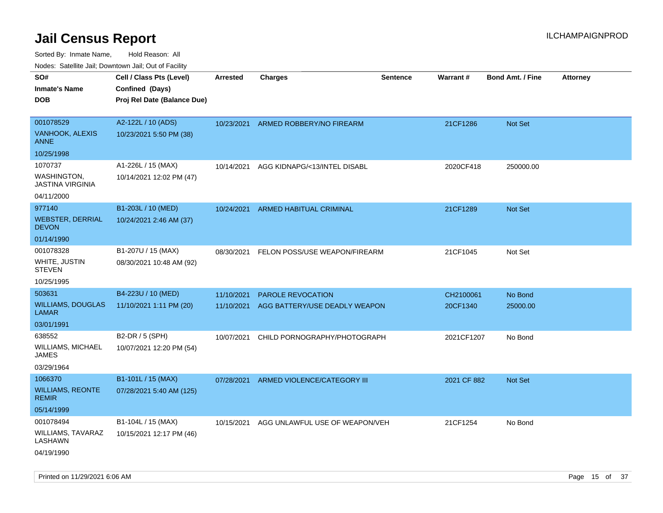Sorted By: Inmate Name, Hold Reason: All

| Nodes: Satellite Jail; Downtown Jail; Out of Facility |                             |                 |                                |                 |             |                         |                 |  |  |  |
|-------------------------------------------------------|-----------------------------|-----------------|--------------------------------|-----------------|-------------|-------------------------|-----------------|--|--|--|
| SO#                                                   | Cell / Class Pts (Level)    | <b>Arrested</b> | <b>Charges</b>                 | <b>Sentence</b> | Warrant#    | <b>Bond Amt. / Fine</b> | <b>Attorney</b> |  |  |  |
| <b>Inmate's Name</b>                                  | Confined (Days)             |                 |                                |                 |             |                         |                 |  |  |  |
| <b>DOB</b>                                            | Proj Rel Date (Balance Due) |                 |                                |                 |             |                         |                 |  |  |  |
|                                                       |                             |                 |                                |                 |             |                         |                 |  |  |  |
| 001078529                                             | A2-122L / 10 (ADS)          | 10/23/2021      | ARMED ROBBERY/NO FIREARM       |                 | 21CF1286    | <b>Not Set</b>          |                 |  |  |  |
| VANHOOK, ALEXIS<br><b>ANNE</b>                        | 10/23/2021 5:50 PM (38)     |                 |                                |                 |             |                         |                 |  |  |  |
| 10/25/1998                                            |                             |                 |                                |                 |             |                         |                 |  |  |  |
| 1070737                                               | A1-226L / 15 (MAX)          | 10/14/2021      | AGG KIDNAPG/<13/INTEL DISABL   |                 | 2020CF418   | 250000.00               |                 |  |  |  |
| WASHINGTON,<br><b>JASTINA VIRGINIA</b>                | 10/14/2021 12:02 PM (47)    |                 |                                |                 |             |                         |                 |  |  |  |
| 04/11/2000                                            |                             |                 |                                |                 |             |                         |                 |  |  |  |
| 977140                                                | B1-203L / 10 (MED)          | 10/24/2021      | ARMED HABITUAL CRIMINAL        |                 | 21CF1289    | Not Set                 |                 |  |  |  |
| <b>WEBSTER, DERRIAL</b><br><b>DEVON</b>               | 10/24/2021 2:46 AM (37)     |                 |                                |                 |             |                         |                 |  |  |  |
| 01/14/1990                                            |                             |                 |                                |                 |             |                         |                 |  |  |  |
| 001078328                                             | B1-207U / 15 (MAX)          | 08/30/2021      | FELON POSS/USE WEAPON/FIREARM  |                 | 21CF1045    | Not Set                 |                 |  |  |  |
| WHITE, JUSTIN<br><b>STEVEN</b>                        | 08/30/2021 10:48 AM (92)    |                 |                                |                 |             |                         |                 |  |  |  |
| 10/25/1995                                            |                             |                 |                                |                 |             |                         |                 |  |  |  |
| 503631                                                | B4-223U / 10 (MED)          | 11/10/2021      | PAROLE REVOCATION              |                 | CH2100061   | No Bond                 |                 |  |  |  |
| <b>WILLIAMS, DOUGLAS</b><br><b>LAMAR</b>              | 11/10/2021 1:11 PM (20)     | 11/10/2021      | AGG BATTERY/USE DEADLY WEAPON  |                 | 20CF1340    | 25000.00                |                 |  |  |  |
| 03/01/1991                                            |                             |                 |                                |                 |             |                         |                 |  |  |  |
| 638552                                                | B2-DR / 5 (SPH)             | 10/07/2021      | CHILD PORNOGRAPHY/PHOTOGRAPH   |                 | 2021CF1207  | No Bond                 |                 |  |  |  |
| <b>WILLIAMS, MICHAEL</b><br><b>JAMES</b>              | 10/07/2021 12:20 PM (54)    |                 |                                |                 |             |                         |                 |  |  |  |
| 03/29/1964                                            |                             |                 |                                |                 |             |                         |                 |  |  |  |
| 1066370                                               | B1-101L / 15 (MAX)          | 07/28/2021      | ARMED VIOLENCE/CATEGORY III    |                 | 2021 CF 882 | Not Set                 |                 |  |  |  |
| <b>WILLIAMS, REONTE</b><br><b>REMIR</b>               | 07/28/2021 5:40 AM (125)    |                 |                                |                 |             |                         |                 |  |  |  |
| 05/14/1999                                            |                             |                 |                                |                 |             |                         |                 |  |  |  |
| 001078494                                             | B1-104L / 15 (MAX)          | 10/15/2021      | AGG UNLAWFUL USE OF WEAPON/VEH |                 | 21CF1254    | No Bond                 |                 |  |  |  |
| WILLIAMS, TAVARAZ<br>LASHAWN                          | 10/15/2021 12:17 PM (46)    |                 |                                |                 |             |                         |                 |  |  |  |
| 04/19/1990                                            |                             |                 |                                |                 |             |                         |                 |  |  |  |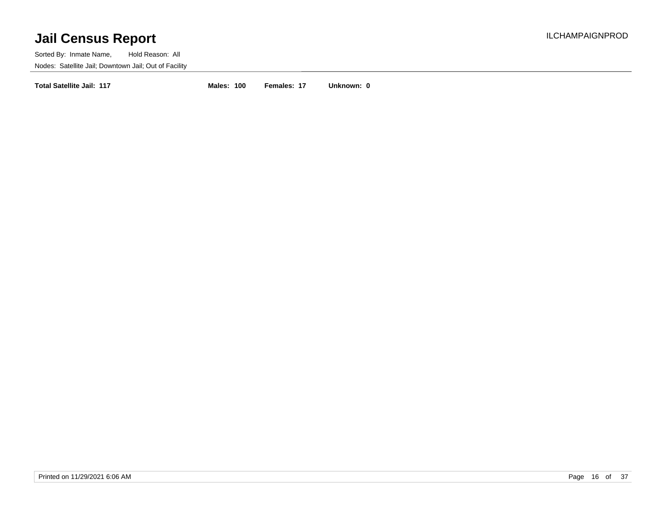Sorted By: Inmate Name, Hold Reason: All Nodes: Satellite Jail; Downtown Jail; Out of Facility

**Total Satellite Jail: 117 Males: 100 Females: 17 Unknown: 0**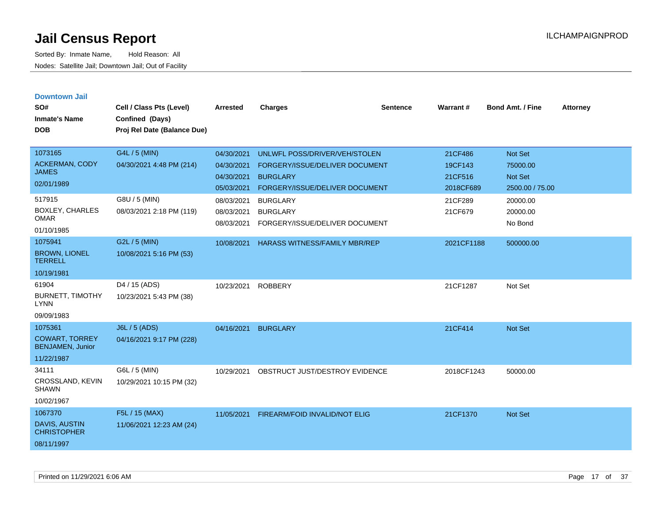| <b>Downtown Jail</b><br>SO#<br><b>Inmate's Name</b><br><b>DOB</b>   | Cell / Class Pts (Level)<br>Confined (Days)<br>Proj Rel Date (Balance Due) | <b>Arrested</b>                        | <b>Charges</b>                                                       | <b>Sentence</b> | <b>Warrant#</b>      | <b>Bond Amt. / Fine</b>         | <b>Attorney</b> |
|---------------------------------------------------------------------|----------------------------------------------------------------------------|----------------------------------------|----------------------------------------------------------------------|-----------------|----------------------|---------------------------------|-----------------|
| 1073165                                                             | G4L / 5 (MIN)                                                              | 04/30/2021                             | UNLWFL POSS/DRIVER/VEH/STOLEN                                        |                 | 21CF486              | Not Set                         |                 |
| <b>ACKERMAN, CODY</b><br><b>JAMES</b>                               | 04/30/2021 4:48 PM (214)                                                   | 04/30/2021                             | FORGERY/ISSUE/DELIVER DOCUMENT                                       |                 | 19CF143              | 75000.00                        |                 |
| 02/01/1989                                                          |                                                                            | 04/30/2021<br>05/03/2021               | <b>BURGLARY</b><br>FORGERY/ISSUE/DELIVER DOCUMENT                    |                 | 21CF516<br>2018CF689 | Not Set<br>2500.00 / 75.00      |                 |
| 517915<br>BOXLEY, CHARLES<br><b>OMAR</b><br>01/10/1985              | G8U / 5 (MIN)<br>08/03/2021 2:18 PM (119)                                  | 08/03/2021<br>08/03/2021<br>08/03/2021 | <b>BURGLARY</b><br><b>BURGLARY</b><br>FORGERY/ISSUE/DELIVER DOCUMENT |                 | 21CF289<br>21CF679   | 20000.00<br>20000.00<br>No Bond |                 |
| 1075941                                                             | G2L / 5 (MIN)                                                              | 10/08/2021                             | <b>HARASS WITNESS/FAMILY MBR/REP</b>                                 |                 | 2021CF1188           | 500000.00                       |                 |
| <b>BROWN, LIONEL</b><br><b>TERRELL</b>                              | 10/08/2021 5:16 PM (53)                                                    |                                        |                                                                      |                 |                      |                                 |                 |
| 10/19/1981                                                          |                                                                            |                                        |                                                                      |                 |                      |                                 |                 |
| 61904<br><b>BURNETT, TIMOTHY</b><br><b>LYNN</b>                     | D <sub>4</sub> / 15 (ADS)<br>10/23/2021 5:43 PM (38)                       | 10/23/2021                             | <b>ROBBERY</b>                                                       |                 | 21CF1287             | Not Set                         |                 |
| 09/09/1983                                                          |                                                                            |                                        |                                                                      |                 |                      |                                 |                 |
| 1075361<br><b>COWART, TORREY</b><br><b>BENJAMEN, Junior</b>         | J6L / 5 (ADS)<br>04/16/2021 9:17 PM (228)                                  | 04/16/2021                             | <b>BURGLARY</b>                                                      |                 | 21CF414              | Not Set                         |                 |
| 11/22/1987                                                          |                                                                            |                                        |                                                                      |                 |                      |                                 |                 |
| 34111<br>CROSSLAND, KEVIN<br><b>SHAWN</b>                           | G6L / 5 (MIN)<br>10/29/2021 10:15 PM (32)                                  | 10/29/2021                             | OBSTRUCT JUST/DESTROY EVIDENCE                                       |                 | 2018CF1243           | 50000.00                        |                 |
| 10/02/1967                                                          |                                                                            |                                        |                                                                      |                 |                      |                                 |                 |
| 1067370<br><b>DAVIS, AUSTIN</b><br><b>CHRISTOPHER</b><br>08/11/1997 | F5L / 15 (MAX)<br>11/06/2021 12:23 AM (24)                                 | 11/05/2021                             | <b>FIREARM/FOID INVALID/NOT ELIG</b>                                 |                 | 21CF1370             | Not Set                         |                 |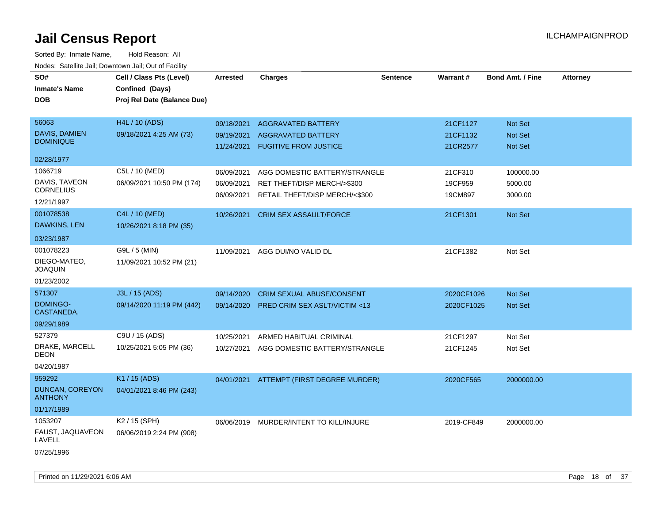| SO#<br><b>Inmate's Name</b><br><b>DOB</b>                        | Cell / Class Pts (Level)<br>Confined (Days)<br>Proj Rel Date (Balance Due) | <b>Arrested</b>                        | <b>Charges</b>                                                                                 | <b>Sentence</b> | <b>Warrant#</b>                  | <b>Bond Amt. / Fine</b>              | <b>Attorney</b> |
|------------------------------------------------------------------|----------------------------------------------------------------------------|----------------------------------------|------------------------------------------------------------------------------------------------|-----------------|----------------------------------|--------------------------------------|-----------------|
| 56063<br>DAVIS, DAMIEN<br><b>DOMINIQUE</b>                       | <b>H4L / 10 (ADS)</b><br>09/18/2021 4:25 AM (73)                           | 09/18/2021<br>09/19/2021<br>11/24/2021 | <b>AGGRAVATED BATTERY</b><br><b>AGGRAVATED BATTERY</b><br><b>FUGITIVE FROM JUSTICE</b>         |                 | 21CF1127<br>21CF1132<br>21CR2577 | <b>Not Set</b><br>Not Set<br>Not Set |                 |
| 02/28/1977                                                       |                                                                            |                                        |                                                                                                |                 |                                  |                                      |                 |
| 1066719<br>DAVIS, TAVEON<br><b>CORNELIUS</b><br>12/21/1997       | C5L / 10 (MED)<br>06/09/2021 10:50 PM (174)                                | 06/09/2021<br>06/09/2021<br>06/09/2021 | AGG DOMESTIC BATTERY/STRANGLE<br>RET THEFT/DISP MERCH/>\$300<br>RETAIL THEFT/DISP MERCH/<\$300 |                 | 21CF310<br>19CF959<br>19CM897    | 100000.00<br>5000.00<br>3000.00      |                 |
| 001078538<br>DAWKINS, LEN<br>03/23/1987                          | C4L / 10 (MED)<br>10/26/2021 8:18 PM (35)                                  | 10/26/2021                             | <b>CRIM SEX ASSAULT/FORCE</b>                                                                  |                 | 21CF1301                         | <b>Not Set</b>                       |                 |
| 001078223<br>DIEGO-MATEO,<br><b>JOAQUIN</b><br>01/23/2002        | G9L / 5 (MIN)<br>11/09/2021 10:52 PM (21)                                  | 11/09/2021                             | AGG DUI/NO VALID DL                                                                            |                 | 21CF1382                         | Not Set                              |                 |
| 571307                                                           | J3L / 15 (ADS)                                                             | 09/14/2020                             | <b>CRIM SEXUAL ABUSE/CONSENT</b>                                                               |                 | 2020CF1026                       | Not Set                              |                 |
| DOMINGO-<br>CASTANEDA,                                           | 09/14/2020 11:19 PM (442)                                                  | 09/14/2020                             | PRED CRIM SEX ASLT/VICTIM <13                                                                  |                 | 2020CF1025                       | Not Set                              |                 |
| 09/29/1989                                                       |                                                                            |                                        |                                                                                                |                 |                                  |                                      |                 |
| 527379<br>DRAKE, MARCELL<br>DEON<br>04/20/1987                   | C9U / 15 (ADS)<br>10/25/2021 5:05 PM (36)                                  | 10/25/2021<br>10/27/2021               | ARMED HABITUAL CRIMINAL<br>AGG DOMESTIC BATTERY/STRANGLE                                       |                 | 21CF1297<br>21CF1245             | Not Set<br>Not Set                   |                 |
| 959292<br><b>DUNCAN, COREYON</b><br><b>ANTHONY</b><br>01/17/1989 | K1 / 15 (ADS)<br>04/01/2021 8:46 PM (243)                                  | 04/01/2021                             | ATTEMPT (FIRST DEGREE MURDER)                                                                  |                 | 2020CF565                        | 2000000.00                           |                 |
| 1053207<br>FAUST, JAQUAVEON<br>LAVELL<br>07/25/1996              | K2 / 15 (SPH)<br>06/06/2019 2:24 PM (908)                                  | 06/06/2019                             | MURDER/INTENT TO KILL/INJURE                                                                   |                 | 2019-CF849                       | 2000000.00                           |                 |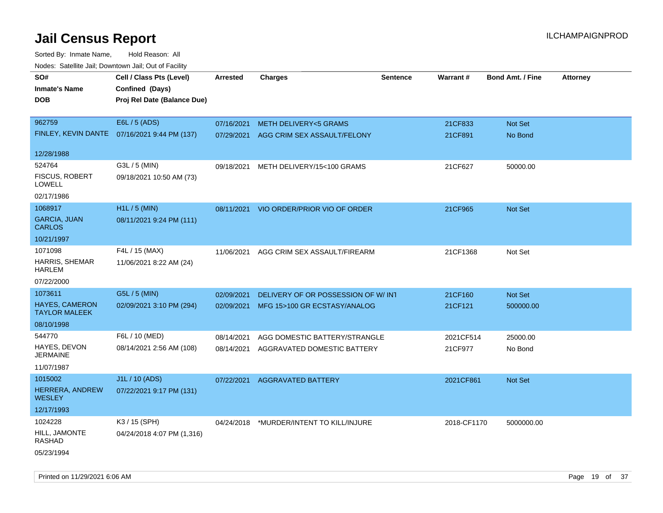| ivouss. Saleling Jali, Downtown Jali, Out of Facility |                                              |            |                                    |                 |             |                         |                 |
|-------------------------------------------------------|----------------------------------------------|------------|------------------------------------|-----------------|-------------|-------------------------|-----------------|
| SO#                                                   | Cell / Class Pts (Level)                     | Arrested   | <b>Charges</b>                     | <b>Sentence</b> | Warrant#    | <b>Bond Amt. / Fine</b> | <b>Attorney</b> |
| <b>Inmate's Name</b>                                  | Confined (Days)                              |            |                                    |                 |             |                         |                 |
| <b>DOB</b>                                            | Proj Rel Date (Balance Due)                  |            |                                    |                 |             |                         |                 |
|                                                       |                                              |            |                                    |                 |             |                         |                 |
| 962759                                                | E6L / 5 (ADS)                                | 07/16/2021 | <b>METH DELIVERY&lt;5 GRAMS</b>    |                 | 21CF833     | Not Set                 |                 |
|                                                       | FINLEY, KEVIN DANTE 07/16/2021 9:44 PM (137) | 07/29/2021 | AGG CRIM SEX ASSAULT/FELONY        |                 | 21CF891     | No Bond                 |                 |
|                                                       |                                              |            |                                    |                 |             |                         |                 |
| 12/28/1988                                            |                                              |            |                                    |                 |             |                         |                 |
| 524764                                                | G3L / 5 (MIN)                                | 09/18/2021 | METH DELIVERY/15<100 GRAMS         |                 | 21CF627     | 50000.00                |                 |
| <b>FISCUS, ROBERT</b><br><b>LOWELL</b>                | 09/18/2021 10:50 AM (73)                     |            |                                    |                 |             |                         |                 |
| 02/17/1986                                            |                                              |            |                                    |                 |             |                         |                 |
| 1068917                                               | $H1L / 5$ (MIN)                              | 08/11/2021 | VIO ORDER/PRIOR VIO OF ORDER       |                 | 21CF965     | Not Set                 |                 |
| <b>GARCIA, JUAN</b><br><b>CARLOS</b>                  | 08/11/2021 9:24 PM (111)                     |            |                                    |                 |             |                         |                 |
| 10/21/1997                                            |                                              |            |                                    |                 |             |                         |                 |
| 1071098                                               | F4L / 15 (MAX)                               | 11/06/2021 | AGG CRIM SEX ASSAULT/FIREARM       |                 | 21CF1368    | Not Set                 |                 |
| HARRIS, SHEMAR<br>HARLEM                              | 11/06/2021 8:22 AM (24)                      |            |                                    |                 |             |                         |                 |
| 07/22/2000                                            |                                              |            |                                    |                 |             |                         |                 |
| 1073611                                               | G5L / 5 (MIN)                                | 02/09/2021 | DELIVERY OF OR POSSESSION OF W/INT |                 | 21CF160     | Not Set                 |                 |
| <b>HAYES, CAMERON</b><br><b>TAYLOR MALEEK</b>         | 02/09/2021 3:10 PM (294)                     | 02/09/2021 | MFG 15>100 GR ECSTASY/ANALOG       |                 | 21CF121     | 500000.00               |                 |
| 08/10/1998                                            |                                              |            |                                    |                 |             |                         |                 |
| 544770                                                | F6L / 10 (MED)                               | 08/14/2021 | AGG DOMESTIC BATTERY/STRANGLE      |                 | 2021CF514   | 25000.00                |                 |
| HAYES, DEVON<br><b>JERMAINE</b>                       | 08/14/2021 2:56 AM (108)                     | 08/14/2021 | AGGRAVATED DOMESTIC BATTERY        |                 | 21CF977     | No Bond                 |                 |
| 11/07/1987                                            |                                              |            |                                    |                 |             |                         |                 |
| 1015002                                               | J1L / 10 (ADS)                               | 07/22/2021 | <b>AGGRAVATED BATTERY</b>          |                 | 2021CF861   | <b>Not Set</b>          |                 |
| <b>HERRERA, ANDREW</b><br><b>WESLEY</b>               | 07/22/2021 9:17 PM (131)                     |            |                                    |                 |             |                         |                 |
| 12/17/1993                                            |                                              |            |                                    |                 |             |                         |                 |
| 1024228                                               | K3 / 15 (SPH)                                | 04/24/2018 | *MURDER/INTENT TO KILL/INJURE      |                 | 2018-CF1170 | 5000000.00              |                 |
| HILL, JAMONTE<br><b>RASHAD</b>                        | 04/24/2018 4:07 PM (1,316)                   |            |                                    |                 |             |                         |                 |
| 05/23/1994                                            |                                              |            |                                    |                 |             |                         |                 |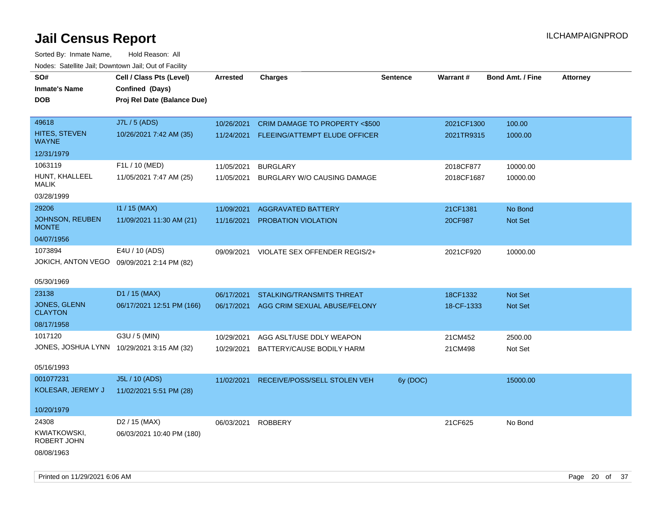| roacs. Catellite Jall, Downtown Jall, Out of Facility |                                                              |                 |                                          |                 |            |                         |                 |
|-------------------------------------------------------|--------------------------------------------------------------|-----------------|------------------------------------------|-----------------|------------|-------------------------|-----------------|
| SO#<br><b>Inmate's Name</b>                           | Cell / Class Pts (Level)<br>Confined (Days)                  | <b>Arrested</b> | <b>Charges</b>                           | <b>Sentence</b> | Warrant#   | <b>Bond Amt. / Fine</b> | <b>Attorney</b> |
| <b>DOB</b>                                            | Proj Rel Date (Balance Due)                                  |                 |                                          |                 |            |                         |                 |
| 49618                                                 | J7L / 5 (ADS)                                                | 10/26/2021      | CRIM DAMAGE TO PROPERTY <\$500           |                 | 2021CF1300 | 100.00                  |                 |
| <b>HITES, STEVEN</b><br><b>WAYNE</b>                  | 10/26/2021 7:42 AM (35)                                      | 11/24/2021      | FLEEING/ATTEMPT ELUDE OFFICER            |                 | 2021TR9315 | 1000.00                 |                 |
| 12/31/1979                                            |                                                              |                 |                                          |                 |            |                         |                 |
| 1063119                                               | F1L / 10 (MED)                                               | 11/05/2021      | <b>BURGLARY</b>                          |                 | 2018CF877  | 10000.00                |                 |
| HUNT, KHALLEEL<br><b>MALIK</b>                        | 11/05/2021 7:47 AM (25)                                      | 11/05/2021      | BURGLARY W/O CAUSING DAMAGE              |                 | 2018CF1687 | 10000.00                |                 |
| 03/28/1999                                            |                                                              |                 |                                          |                 |            |                         |                 |
| 29206                                                 | $11 / 15$ (MAX)                                              | 11/09/2021      | <b>AGGRAVATED BATTERY</b>                |                 | 21CF1381   | No Bond                 |                 |
| <b>JOHNSON, REUBEN</b><br><b>MONTE</b>                | 11/09/2021 11:30 AM (21)                                     | 11/16/2021      | PROBATION VIOLATION                      |                 | 20CF987    | Not Set                 |                 |
| 04/07/1956                                            |                                                              |                 |                                          |                 |            |                         |                 |
| 1073894                                               | E4U / 10 (ADS)<br>JOKICH, ANTON VEGO 09/09/2021 2:14 PM (82) |                 | 09/09/2021 VIOLATE SEX OFFENDER REGIS/2+ |                 | 2021CF920  | 10000.00                |                 |
| 05/30/1969                                            |                                                              |                 |                                          |                 |            |                         |                 |
| 23138                                                 | D1 / 15 (MAX)                                                | 06/17/2021      | STALKING/TRANSMITS THREAT                |                 | 18CF1332   | <b>Not Set</b>          |                 |
| JONES, GLENN<br><b>CLAYTON</b>                        | 06/17/2021 12:51 PM (166)                                    | 06/17/2021      | AGG CRIM SEXUAL ABUSE/FELONY             |                 | 18-CF-1333 | Not Set                 |                 |
| 08/17/1958                                            |                                                              |                 |                                          |                 |            |                         |                 |
| 1017120                                               | G3U / 5 (MIN)                                                | 10/29/2021      | AGG ASLT/USE DDLY WEAPON                 |                 | 21CM452    | 2500.00                 |                 |
|                                                       | JONES, JOSHUA LYNN 10/29/2021 3:15 AM (32)                   | 10/29/2021      | BATTERY/CAUSE BODILY HARM                |                 | 21CM498    | Not Set                 |                 |
| 05/16/1993                                            |                                                              |                 |                                          |                 |            |                         |                 |
| 001077231                                             | J5L / 10 (ADS)                                               | 11/02/2021      | RECEIVE/POSS/SELL STOLEN VEH             | 6y (DOC)        |            | 15000.00                |                 |
| KOLESAR, JEREMY J                                     | 11/02/2021 5:51 PM (28)                                      |                 |                                          |                 |            |                         |                 |
| 10/20/1979                                            |                                                              |                 |                                          |                 |            |                         |                 |
| 24308                                                 | D <sub>2</sub> / 15 (MAX)                                    | 06/03/2021      | <b>ROBBERY</b>                           |                 | 21CF625    | No Bond                 |                 |
| KWIATKOWSKI,<br>ROBERT JOHN                           | 06/03/2021 10:40 PM (180)                                    |                 |                                          |                 |            |                         |                 |
| 08/08/1963                                            |                                                              |                 |                                          |                 |            |                         |                 |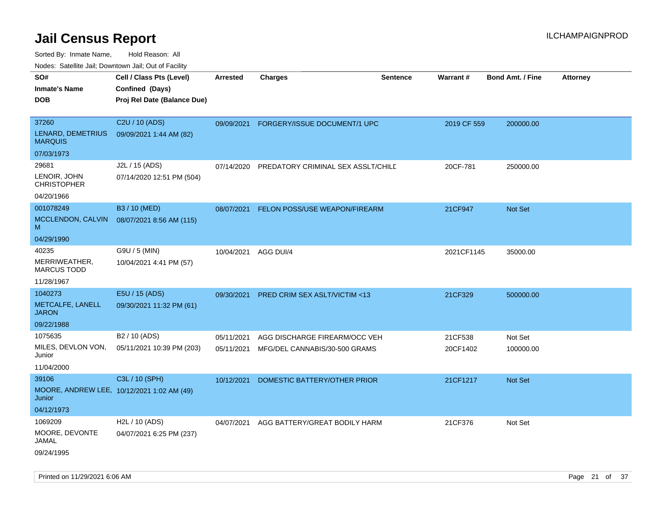Sorted By: Inmate Name, Hold Reason: All

Nodes: Satellite Jail; Downtown Jail; Out of Facility

| SO#<br><b>Inmate's Name</b><br><b>DOB</b>  | Cell / Class Pts (Level)<br>Confined (Days)<br>Proj Rel Date (Balance Due) | <b>Arrested</b> | <b>Charges</b>                           | <b>Sentence</b> | <b>Warrant#</b> | <b>Bond Amt. / Fine</b> | <b>Attorney</b> |
|--------------------------------------------|----------------------------------------------------------------------------|-----------------|------------------------------------------|-----------------|-----------------|-------------------------|-----------------|
|                                            |                                                                            |                 |                                          |                 |                 |                         |                 |
| 37260                                      | C2U / 10 (ADS)                                                             | 09/09/2021      | FORGERY/ISSUE DOCUMENT/1 UPC             |                 | 2019 CF 559     | 200000.00               |                 |
| <b>LENARD, DEMETRIUS</b><br><b>MARQUIS</b> | 09/09/2021 1:44 AM (82)                                                    |                 |                                          |                 |                 |                         |                 |
| 07/03/1973                                 |                                                                            |                 |                                          |                 |                 |                         |                 |
| 29681                                      | J2L / 15 (ADS)                                                             | 07/14/2020      | PREDATORY CRIMINAL SEX ASSLT/CHILD       |                 | 20CF-781        | 250000.00               |                 |
| LENOIR, JOHN<br><b>CHRISTOPHER</b>         | 07/14/2020 12:51 PM (504)                                                  |                 |                                          |                 |                 |                         |                 |
| 04/20/1966                                 |                                                                            |                 |                                          |                 |                 |                         |                 |
| 001078249                                  | B3 / 10 (MED)                                                              | 08/07/2021      | FELON POSS/USE WEAPON/FIREARM            |                 | 21CF947         | Not Set                 |                 |
| MCCLENDON, CALVIN<br>м                     | 08/07/2021 8:56 AM (115)                                                   |                 |                                          |                 |                 |                         |                 |
| 04/29/1990                                 |                                                                            |                 |                                          |                 |                 |                         |                 |
| 40235                                      | G9U / 5 (MIN)                                                              |                 | 10/04/2021 AGG DUI/4                     |                 | 2021CF1145      | 35000.00                |                 |
| MERRIWEATHER,<br><b>MARCUS TODD</b>        | 10/04/2021 4:41 PM (57)                                                    |                 |                                          |                 |                 |                         |                 |
| 11/28/1967                                 |                                                                            |                 |                                          |                 |                 |                         |                 |
| 1040273                                    | E5U / 15 (ADS)                                                             | 09/30/2021      | PRED CRIM SEX ASLT/VICTIM <13            |                 | 21CF329         | 500000.00               |                 |
| METCALFE, LANELL<br><b>JARON</b>           | 09/30/2021 11:32 PM (61)                                                   |                 |                                          |                 |                 |                         |                 |
| 09/22/1988                                 |                                                                            |                 |                                          |                 |                 |                         |                 |
| 1075635                                    | B <sub>2</sub> / 10 (ADS)                                                  | 05/11/2021      | AGG DISCHARGE FIREARM/OCC VEH            |                 | 21CF538         | Not Set                 |                 |
| MILES, DEVLON VON,<br>Junior               | 05/11/2021 10:39 PM (203)                                                  |                 | 05/11/2021 MFG/DEL CANNABIS/30-500 GRAMS |                 | 20CF1402        | 100000.00               |                 |
| 11/04/2000                                 |                                                                            |                 |                                          |                 |                 |                         |                 |
| 39106                                      | C3L / 10 (SPH)                                                             | 10/12/2021      | DOMESTIC BATTERY/OTHER PRIOR             |                 | 21CF1217        | Not Set                 |                 |
| Junior                                     | MOORE, ANDREW LEE, 10/12/2021 1:02 AM (49)                                 |                 |                                          |                 |                 |                         |                 |
| 04/12/1973                                 |                                                                            |                 |                                          |                 |                 |                         |                 |
| 1069209                                    | H2L / 10 (ADS)                                                             | 04/07/2021      | AGG BATTERY/GREAT BODILY HARM            |                 | 21CF376         | Not Set                 |                 |
| MOORE, DEVONTE<br><b>JAMAL</b>             | 04/07/2021 6:25 PM (237)                                                   |                 |                                          |                 |                 |                         |                 |
| 09/24/1995                                 |                                                                            |                 |                                          |                 |                 |                         |                 |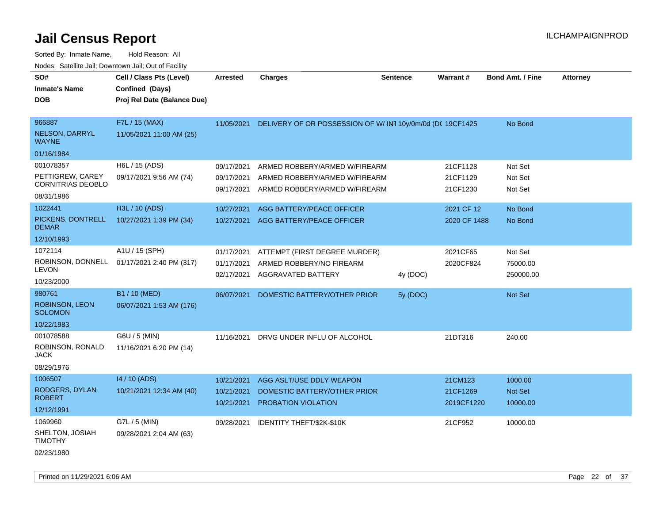| Sorted By: Inmate Name,                               | Hold Reason: All            |                 |                                                                       |                 |              |                         |                 |
|-------------------------------------------------------|-----------------------------|-----------------|-----------------------------------------------------------------------|-----------------|--------------|-------------------------|-----------------|
| Nodes: Satellite Jail; Downtown Jail; Out of Facility |                             |                 |                                                                       |                 |              |                         |                 |
| SO#                                                   | Cell / Class Pts (Level)    | <b>Arrested</b> | <b>Charges</b>                                                        | <b>Sentence</b> | Warrant#     | <b>Bond Amt. / Fine</b> | <b>Attorney</b> |
| <b>Inmate's Name</b>                                  | Confined (Days)             |                 |                                                                       |                 |              |                         |                 |
| <b>DOB</b>                                            | Proj Rel Date (Balance Due) |                 |                                                                       |                 |              |                         |                 |
|                                                       |                             |                 |                                                                       |                 |              |                         |                 |
| 966887                                                | F7L / 15 (MAX)              |                 | 11/05/2021 DELIVERY OF OR POSSESSION OF W/ IN1 10y/0m/0d (DC 19CF1425 |                 |              | No Bond                 |                 |
| NELSON, DARRYL<br><b>WAYNE</b>                        | 11/05/2021 11:00 AM (25)    |                 |                                                                       |                 |              |                         |                 |
| 01/16/1984                                            |                             |                 |                                                                       |                 |              |                         |                 |
| 001078357                                             | H6L / 15 (ADS)              | 09/17/2021      | ARMED ROBBERY/ARMED W/FIREARM                                         |                 | 21CF1128     | Not Set                 |                 |
| PETTIGREW, CAREY                                      | 09/17/2021 9:56 AM (74)     | 09/17/2021      | ARMED ROBBERY/ARMED W/FIREARM                                         |                 | 21CF1129     | Not Set                 |                 |
| <b>CORNITRIAS DEOBLO</b>                              |                             | 09/17/2021      | ARMED ROBBERY/ARMED W/FIREARM                                         |                 | 21CF1230     | Not Set                 |                 |
| 08/31/1986                                            |                             |                 |                                                                       |                 |              |                         |                 |
| 1022441                                               | H3L / 10 (ADS)              | 10/27/2021      | AGG BATTERY/PEACE OFFICER                                             |                 | 2021 CF 12   | No Bond                 |                 |
| PICKENS, DONTRELL<br><b>DEMAR</b>                     | 10/27/2021 1:39 PM (34)     | 10/27/2021      | <b>AGG BATTERY/PEACE OFFICER</b>                                      |                 | 2020 CF 1488 | No Bond                 |                 |
| 12/10/1993                                            |                             |                 |                                                                       |                 |              |                         |                 |
| 1072114                                               | A1U / 15 (SPH)              | 01/17/2021      | ATTEMPT (FIRST DEGREE MURDER)                                         |                 | 2021CF65     | Not Set                 |                 |
| ROBINSON, DONNELL                                     | 01/17/2021 2:40 PM (317)    | 01/17/2021      | ARMED ROBBERY/NO FIREARM                                              |                 | 2020CF824    | 75000.00                |                 |
| <b>LEVON</b>                                          |                             | 02/17/2021      | AGGRAVATED BATTERY                                                    | 4y (DOC)        |              | 250000.00               |                 |
| 10/23/2000                                            |                             |                 |                                                                       |                 |              |                         |                 |
| 980761                                                | B1 / 10 (MED)               | 06/07/2021      | DOMESTIC BATTERY/OTHER PRIOR                                          | 5y (DOC)        |              | Not Set                 |                 |
| <b>ROBINSON, LEON</b><br><b>SOLOMON</b>               | 06/07/2021 1:53 AM (176)    |                 |                                                                       |                 |              |                         |                 |
| 10/22/1983                                            |                             |                 |                                                                       |                 |              |                         |                 |
| 001078588                                             | G6U / 5 (MIN)               | 11/16/2021      | DRVG UNDER INFLU OF ALCOHOL                                           |                 | 21DT316      | 240.00                  |                 |
| ROBINSON, RONALD<br><b>JACK</b>                       | 11/16/2021 6:20 PM (14)     |                 |                                                                       |                 |              |                         |                 |
| 08/29/1976                                            |                             |                 |                                                                       |                 |              |                         |                 |
| 1006507                                               | 14 / 10 (ADS)               | 10/21/2021      | AGG ASLT/USE DDLY WEAPON                                              |                 | 21CM123      | 1000.00                 |                 |
| RODGERS, DYLAN                                        | 10/21/2021 12:34 AM (40)    | 10/21/2021      | DOMESTIC BATTERY/OTHER PRIOR                                          |                 | 21CF1269     | Not Set                 |                 |
| <b>ROBERT</b>                                         |                             | 10/21/2021      | <b>PROBATION VIOLATION</b>                                            |                 | 2019CF1220   | 10000.00                |                 |
| 12/12/1991                                            |                             |                 |                                                                       |                 |              |                         |                 |
| 1069960                                               | $G7L / 5$ (MIN)             | 09/28/2021      | IDENTITY THEFT/\$2K-\$10K                                             |                 | 21CF952      | 10000.00                |                 |
| SHELTON, JOSIAH<br><b>TIMOTHY</b>                     | 09/28/2021 2:04 AM (63)     |                 |                                                                       |                 |              |                         |                 |
| 02/23/1980                                            |                             |                 |                                                                       |                 |              |                         |                 |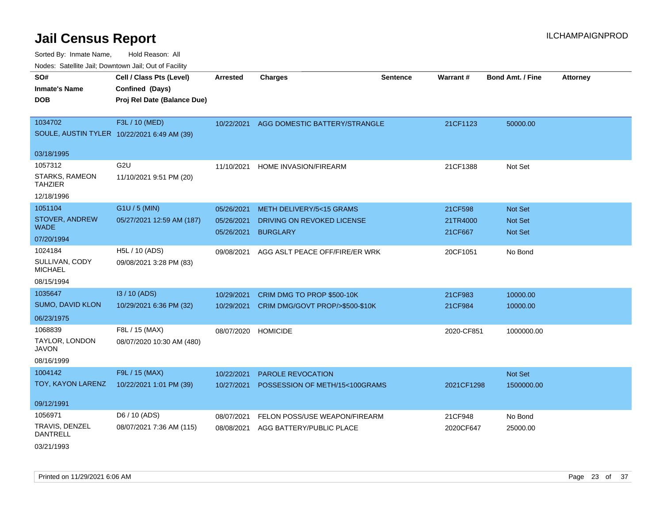| SO#                                     | Cell / Class Pts (Level)                    | <b>Arrested</b> | <b>Charges</b>                  | <b>Sentence</b> | Warrant#   | <b>Bond Amt. / Fine</b> | <b>Attorney</b> |
|-----------------------------------------|---------------------------------------------|-----------------|---------------------------------|-----------------|------------|-------------------------|-----------------|
| <b>Inmate's Name</b>                    | Confined (Days)                             |                 |                                 |                 |            |                         |                 |
| <b>DOB</b>                              | Proj Rel Date (Balance Due)                 |                 |                                 |                 |            |                         |                 |
|                                         |                                             |                 |                                 |                 |            |                         |                 |
| 1034702                                 | F3L / 10 (MED)                              | 10/22/2021      | AGG DOMESTIC BATTERY/STRANGLE   |                 | 21CF1123   | 50000.00                |                 |
|                                         | SOULE, AUSTIN TYLER 10/22/2021 6:49 AM (39) |                 |                                 |                 |            |                         |                 |
| 03/18/1995                              |                                             |                 |                                 |                 |            |                         |                 |
| 1057312                                 | G <sub>2U</sub>                             | 11/10/2021      | HOME INVASION/FIREARM           |                 | 21CF1388   | Not Set                 |                 |
| <b>STARKS, RAMEON</b><br><b>TAHZIER</b> | 11/10/2021 9:51 PM (20)                     |                 |                                 |                 |            |                         |                 |
| 12/18/1996                              |                                             |                 |                                 |                 |            |                         |                 |
| 1051104                                 | G1U / 5 (MIN)                               | 05/26/2021      | METH DELIVERY/5<15 GRAMS        |                 | 21CF598    | Not Set                 |                 |
| STOVER, ANDREW                          | 05/27/2021 12:59 AM (187)                   | 05/26/2021      | DRIVING ON REVOKED LICENSE      |                 | 21TR4000   | Not Set                 |                 |
| <b>WADE</b>                             |                                             | 05/26/2021      | <b>BURGLARY</b>                 |                 | 21CF667    | Not Set                 |                 |
| 07/20/1994                              |                                             |                 |                                 |                 |            |                         |                 |
| 1024184                                 | H5L / 10 (ADS)                              | 09/08/2021      | AGG ASLT PEACE OFF/FIRE/ER WRK  |                 | 20CF1051   | No Bond                 |                 |
| SULLIVAN, CODY<br><b>MICHAEL</b>        | 09/08/2021 3:28 PM (83)                     |                 |                                 |                 |            |                         |                 |
| 08/15/1994                              |                                             |                 |                                 |                 |            |                         |                 |
| 1035647                                 | I3 / 10 (ADS)                               | 10/29/2021      | CRIM DMG TO PROP \$500-10K      |                 | 21CF983    | 10000.00                |                 |
| SUMO, DAVID KLON                        | 10/29/2021 6:36 PM (32)                     | 10/29/2021      | CRIM DMG/GOVT PROP/>\$500-\$10K |                 | 21CF984    | 10000.00                |                 |
| 06/23/1975                              |                                             |                 |                                 |                 |            |                         |                 |
| 1068839                                 | F8L / 15 (MAX)                              | 08/07/2020      | <b>HOMICIDE</b>                 |                 | 2020-CF851 | 1000000.00              |                 |
| TAYLOR, LONDON<br><b>JAVON</b>          | 08/07/2020 10:30 AM (480)                   |                 |                                 |                 |            |                         |                 |
| 08/16/1999                              |                                             |                 |                                 |                 |            |                         |                 |
| 1004142                                 | F9L / 15 (MAX)                              | 10/22/2021      | PAROLE REVOCATION               |                 |            | Not Set                 |                 |
| TOY, KAYON LARENZ                       | 10/22/2021 1:01 PM (39)                     | 10/27/2021      | POSSESSION OF METH/15<100GRAMS  |                 | 2021CF1298 | 1500000.00              |                 |
| 09/12/1991                              |                                             |                 |                                 |                 |            |                         |                 |
| 1056971                                 | D6 / 10 (ADS)                               | 08/07/2021      | FELON POSS/USE WEAPON/FIREARM   |                 | 21CF948    | No Bond                 |                 |
| TRAVIS, DENZEL<br><b>DANTRELL</b>       | 08/07/2021 7:36 AM (115)                    | 08/08/2021      | AGG BATTERY/PUBLIC PLACE        |                 | 2020CF647  | 25000.00                |                 |
| 03/21/1993                              |                                             |                 |                                 |                 |            |                         |                 |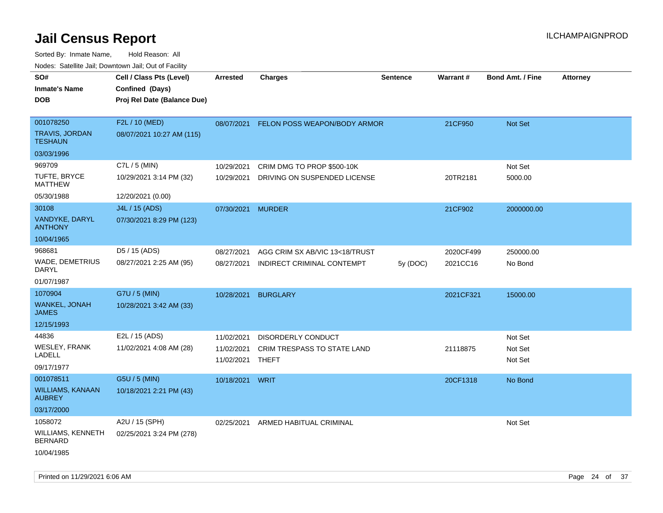| roacs. Catellite Jall, Downtown Jall, Out of Facility               |                                                                            |                                        |                                                              |                 |                       |                               |                 |
|---------------------------------------------------------------------|----------------------------------------------------------------------------|----------------------------------------|--------------------------------------------------------------|-----------------|-----------------------|-------------------------------|-----------------|
| SO#<br><b>Inmate's Name</b><br><b>DOB</b>                           | Cell / Class Pts (Level)<br>Confined (Days)<br>Proj Rel Date (Balance Due) | <b>Arrested</b>                        | <b>Charges</b>                                               | <b>Sentence</b> | <b>Warrant#</b>       | <b>Bond Amt. / Fine</b>       | <b>Attorney</b> |
| 001078250<br><b>TRAVIS, JORDAN</b><br><b>TESHAUN</b>                | F2L / 10 (MED)<br>08/07/2021 10:27 AM (115)                                | 08/07/2021                             | FELON POSS WEAPON/BODY ARMOR                                 |                 | 21CF950               | Not Set                       |                 |
| 03/03/1996                                                          |                                                                            |                                        |                                                              |                 |                       |                               |                 |
| 969709<br>TUFTE, BRYCE<br><b>MATTHEW</b>                            | $C7L / 5$ (MIN)<br>10/29/2021 3:14 PM (32)                                 | 10/29/2021<br>10/29/2021               | CRIM DMG TO PROP \$500-10K<br>DRIVING ON SUSPENDED LICENSE   |                 | 20TR2181              | Not Set<br>5000.00            |                 |
| 05/30/1988                                                          | 12/20/2021 (0.00)                                                          |                                        |                                                              |                 |                       |                               |                 |
| 30108<br><b>VANDYKE, DARYL</b><br><b>ANTHONY</b>                    | J4L / 15 (ADS)<br>07/30/2021 8:29 PM (123)                                 | 07/30/2021 MURDER                      |                                                              |                 | 21CF902               | 2000000.00                    |                 |
| 10/04/1965                                                          |                                                                            |                                        |                                                              |                 |                       |                               |                 |
| 968681<br><b>WADE, DEMETRIUS</b><br>DARYL                           | D5 / 15 (ADS)<br>08/27/2021 2:25 AM (95)                                   | 08/27/2021<br>08/27/2021               | AGG CRIM SX AB/VIC 13<18/TRUST<br>INDIRECT CRIMINAL CONTEMPT | 5y (DOC)        | 2020CF499<br>2021CC16 | 250000.00<br>No Bond          |                 |
| 01/07/1987<br>1070904                                               | G7U / 5 (MIN)                                                              |                                        |                                                              |                 |                       |                               |                 |
| WANKEL, JONAH<br><b>JAMES</b>                                       | 10/28/2021 3:42 AM (33)                                                    | 10/28/2021                             | <b>BURGLARY</b>                                              |                 | 2021CF321             | 15000.00                      |                 |
| 12/15/1993                                                          |                                                                            |                                        |                                                              |                 |                       |                               |                 |
| 44836<br><b>WESLEY, FRANK</b><br>LADELL<br>09/17/1977               | E2L / 15 (ADS)<br>11/02/2021 4:08 AM (28)                                  | 11/02/2021<br>11/02/2021<br>11/02/2021 | DISORDERLY CONDUCT<br>CRIM TRESPASS TO STATE LAND<br>THEFT   |                 | 21118875              | Not Set<br>Not Set<br>Not Set |                 |
| 001078511<br><b>WILLIAMS, KANAAN</b><br><b>AUBREY</b><br>03/17/2000 | G5U / 5 (MIN)<br>10/18/2021 2:21 PM (43)                                   | 10/18/2021                             | <b>WRIT</b>                                                  |                 | 20CF1318              | No Bond                       |                 |
| 1058072<br>WILLIAMS, KENNETH<br><b>BERNARD</b><br>10/04/1985        | A2U / 15 (SPH)<br>02/25/2021 3:24 PM (278)                                 | 02/25/2021                             | ARMED HABITUAL CRIMINAL                                      |                 |                       | Not Set                       |                 |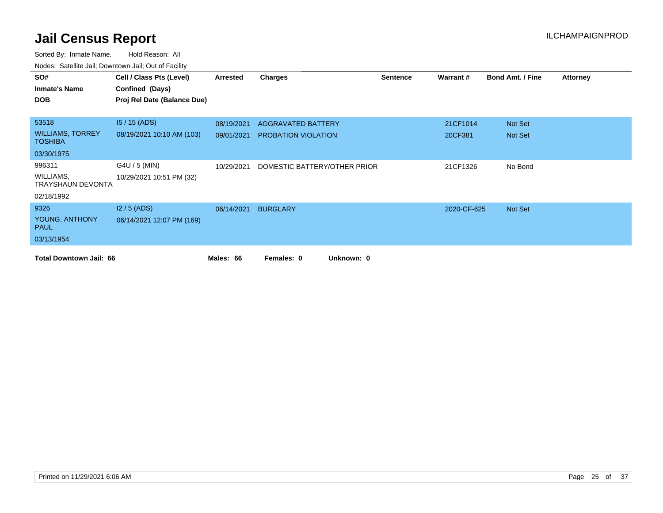| SO#                                       | Cell / Class Pts (Level)    | Arrested   | <b>Charges</b>               | <b>Sentence</b> | Warrant#    | <b>Bond Amt. / Fine</b> | <b>Attorney</b> |
|-------------------------------------------|-----------------------------|------------|------------------------------|-----------------|-------------|-------------------------|-----------------|
| <b>Inmate's Name</b>                      | Confined (Days)             |            |                              |                 |             |                         |                 |
| <b>DOB</b>                                | Proj Rel Date (Balance Due) |            |                              |                 |             |                         |                 |
|                                           |                             |            |                              |                 |             |                         |                 |
| 53518                                     | $15/15$ (ADS)               | 08/19/2021 | AGGRAVATED BATTERY           |                 | 21CF1014    | Not Set                 |                 |
| <b>WILLIAMS, TORREY</b><br><b>TOSHIBA</b> | 08/19/2021 10:10 AM (103)   | 09/01/2021 | <b>PROBATION VIOLATION</b>   |                 | 20CF381     | Not Set                 |                 |
| 03/30/1975                                |                             |            |                              |                 |             |                         |                 |
| 996311                                    | G4U / 5 (MIN)               | 10/29/2021 | DOMESTIC BATTERY/OTHER PRIOR |                 | 21CF1326    | No Bond                 |                 |
| WILLIAMS,<br>TRAYSHAUN DEVONTA            | 10/29/2021 10:51 PM (32)    |            |                              |                 |             |                         |                 |
| 02/18/1992                                |                             |            |                              |                 |             |                         |                 |
| 9326                                      | $12/5$ (ADS)                | 06/14/2021 | <b>BURGLARY</b>              |                 | 2020-CF-625 | Not Set                 |                 |
| YOUNG, ANTHONY<br><b>PAUL</b>             | 06/14/2021 12:07 PM (169)   |            |                              |                 |             |                         |                 |
| 03/13/1954                                |                             |            |                              |                 |             |                         |                 |
| <b>Total Downtown Jail: 66</b>            |                             | Males: 66  | Females: 0<br>Unknown: 0     |                 |             |                         |                 |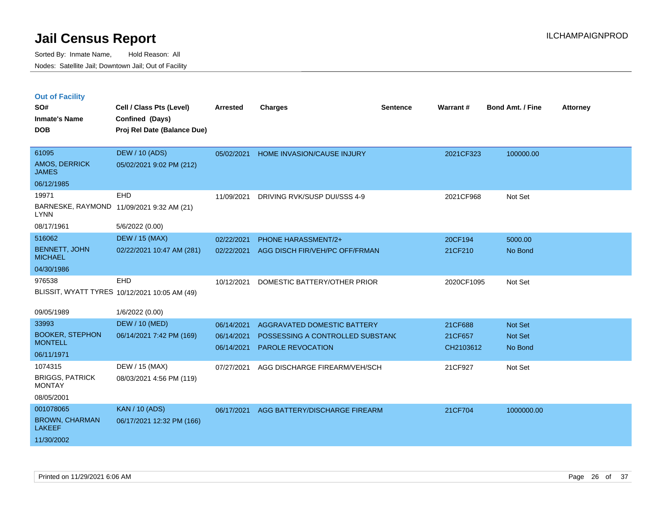|  | <b>Out of Facility</b> |  |
|--|------------------------|--|
|  |                        |  |

| SO#<br><b>Inmate's Name</b><br><b>DOB</b>                                     | Cell / Class Pts (Level)<br>Confined (Days)<br>Proj Rel Date (Balance Due) | <b>Arrested</b>                        | <b>Charges</b>                                                                              | <b>Sentence</b> | Warrant#                        | <b>Bond Amt. / Fine</b>       | <b>Attorney</b> |
|-------------------------------------------------------------------------------|----------------------------------------------------------------------------|----------------------------------------|---------------------------------------------------------------------------------------------|-----------------|---------------------------------|-------------------------------|-----------------|
| 61095<br>AMOS, DERRICK<br><b>JAMES</b>                                        | <b>DEW / 10 (ADS)</b><br>05/02/2021 9:02 PM (212)                          | 05/02/2021                             | HOME INVASION/CAUSE INJURY                                                                  |                 | 2021CF323                       | 100000.00                     |                 |
| 06/12/1985<br>19971<br><b>LYNN</b><br>08/17/1961                              | <b>EHD</b><br>BARNESKE, RAYMOND 11/09/2021 9:32 AM (21)<br>5/6/2022 (0.00) | 11/09/2021                             | DRIVING RVK/SUSP DUI/SSS 4-9                                                                |                 | 2021CF968                       | Not Set                       |                 |
| 516062<br><b>BENNETT, JOHN</b><br><b>MICHAEL</b><br>04/30/1986                | <b>DEW / 15 (MAX)</b><br>02/22/2021 10:47 AM (281)                         | 02/22/2021<br>02/22/2021               | <b>PHONE HARASSMENT/2+</b><br>AGG DISCH FIR/VEH/PC OFF/FRMAN                                |                 | 20CF194<br>21CF210              | 5000.00<br>No Bond            |                 |
| 976538                                                                        | EHD<br>BLISSIT, WYATT TYRES 10/12/2021 10:05 AM (49)                       | 10/12/2021                             | DOMESTIC BATTERY/OTHER PRIOR                                                                |                 | 2020CF1095                      | Not Set                       |                 |
| 09/05/1989<br>33993<br><b>BOOKER, STEPHON</b><br><b>MONTELL</b><br>06/11/1971 | 1/6/2022 (0.00)<br><b>DEW / 10 (MED)</b><br>06/14/2021 7:42 PM (169)       | 06/14/2021<br>06/14/2021<br>06/14/2021 | AGGRAVATED DOMESTIC BATTERY<br>POSSESSING A CONTROLLED SUBSTANC<br><b>PAROLE REVOCATION</b> |                 | 21CF688<br>21CF657<br>CH2103612 | Not Set<br>Not Set<br>No Bond |                 |
| 1074315<br><b>BRIGGS, PATRICK</b><br><b>MONTAY</b><br>08/05/2001              | DEW / 15 (MAX)<br>08/03/2021 4:56 PM (119)                                 | 07/27/2021                             | AGG DISCHARGE FIREARM/VEH/SCH                                                               |                 | 21CF927                         | Not Set                       |                 |
| 001078065<br><b>BROWN, CHARMAN</b><br><b>LAKEEF</b><br>11/30/2002             | <b>KAN / 10 (ADS)</b><br>06/17/2021 12:32 PM (166)                         | 06/17/2021                             | AGG BATTERY/DISCHARGE FIREARM                                                               |                 | 21CF704                         | 1000000.00                    |                 |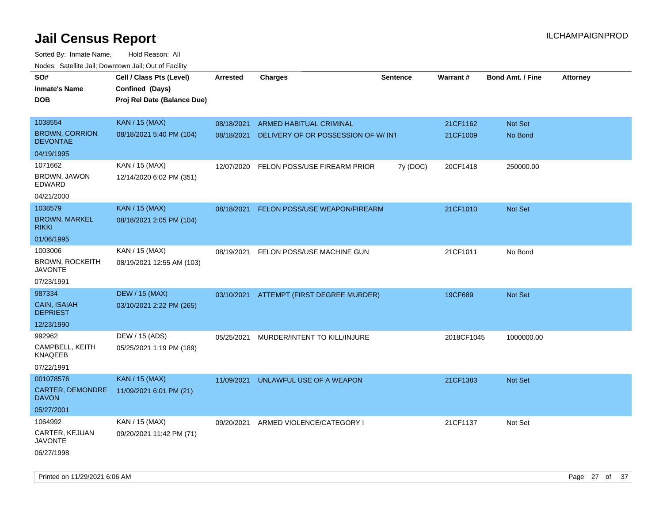| noaco. Catomto can, Domntonn can, Cat or I domt<br>SO#<br><b>Inmate's Name</b><br><b>DOB</b> | Cell / Class Pts (Level)<br>Confined (Days)<br>Proj Rel Date (Balance Due) | Arrested   | <b>Charges</b>                           | <b>Sentence</b> | Warrant#   | <b>Bond Amt. / Fine</b> | <b>Attorney</b> |
|----------------------------------------------------------------------------------------------|----------------------------------------------------------------------------|------------|------------------------------------------|-----------------|------------|-------------------------|-----------------|
| 1038554                                                                                      | <b>KAN / 15 (MAX)</b>                                                      | 08/18/2021 | <b>ARMED HABITUAL CRIMINAL</b>           |                 | 21CF1162   | Not Set                 |                 |
| <b>BROWN, CORRION</b><br><b>DEVONTAE</b>                                                     | 08/18/2021 5:40 PM (104)                                                   | 08/18/2021 | DELIVERY OF OR POSSESSION OF W/INT       |                 | 21CF1009   | No Bond                 |                 |
| 04/19/1995                                                                                   |                                                                            |            |                                          |                 |            |                         |                 |
| 1071662                                                                                      | KAN / 15 (MAX)                                                             | 12/07/2020 | FELON POSS/USE FIREARM PRIOR             | 7y (DOC)        | 20CF1418   | 250000.00               |                 |
| BROWN, JAWON<br>EDWARD                                                                       | 12/14/2020 6:02 PM (351)                                                   |            |                                          |                 |            |                         |                 |
| 04/21/2000                                                                                   |                                                                            |            |                                          |                 |            |                         |                 |
| 1038579                                                                                      | <b>KAN / 15 (MAX)</b>                                                      | 08/18/2021 | FELON POSS/USE WEAPON/FIREARM            |                 | 21CF1010   | <b>Not Set</b>          |                 |
| <b>BROWN, MARKEL</b><br><b>RIKKI</b>                                                         | 08/18/2021 2:05 PM (104)                                                   |            |                                          |                 |            |                         |                 |
| 01/06/1995                                                                                   |                                                                            |            |                                          |                 |            |                         |                 |
| 1003006                                                                                      | KAN / 15 (MAX)                                                             | 08/19/2021 | FELON POSS/USE MACHINE GUN               |                 | 21CF1011   | No Bond                 |                 |
| <b>BROWN, ROCKEITH</b><br><b>JAVONTE</b>                                                     | 08/19/2021 12:55 AM (103)                                                  |            |                                          |                 |            |                         |                 |
| 07/23/1991                                                                                   |                                                                            |            |                                          |                 |            |                         |                 |
| 987334                                                                                       | <b>DEW / 15 (MAX)</b>                                                      |            | 03/10/2021 ATTEMPT (FIRST DEGREE MURDER) |                 | 19CF689    | Not Set                 |                 |
| <b>CAIN, ISAIAH</b><br><b>DEPRIEST</b>                                                       | 03/10/2021 2:22 PM (265)                                                   |            |                                          |                 |            |                         |                 |
| 12/23/1990                                                                                   |                                                                            |            |                                          |                 |            |                         |                 |
| 992962                                                                                       | DEW / 15 (ADS)                                                             | 05/25/2021 | MURDER/INTENT TO KILL/INJURE             |                 | 2018CF1045 | 1000000.00              |                 |
| CAMPBELL, KEITH<br><b>KNAQEEB</b>                                                            | 05/25/2021 1:19 PM (189)                                                   |            |                                          |                 |            |                         |                 |
| 07/22/1991                                                                                   |                                                                            |            |                                          |                 |            |                         |                 |
| 001078576                                                                                    | <b>KAN / 15 (MAX)</b>                                                      | 11/09/2021 | UNLAWFUL USE OF A WEAPON                 |                 | 21CF1383   | <b>Not Set</b>          |                 |
| CARTER, DEMONDRE<br><b>DAVON</b>                                                             | 11/09/2021 6:01 PM (21)                                                    |            |                                          |                 |            |                         |                 |
| 05/27/2001                                                                                   |                                                                            |            |                                          |                 |            |                         |                 |
| 1064992                                                                                      | KAN / 15 (MAX)                                                             | 09/20/2021 | ARMED VIOLENCE/CATEGORY I                |                 | 21CF1137   | Not Set                 |                 |
| CARTER, KEJUAN<br><b>JAVONTE</b>                                                             | 09/20/2021 11:42 PM (71)                                                   |            |                                          |                 |            |                         |                 |
| 06/27/1998                                                                                   |                                                                            |            |                                          |                 |            |                         |                 |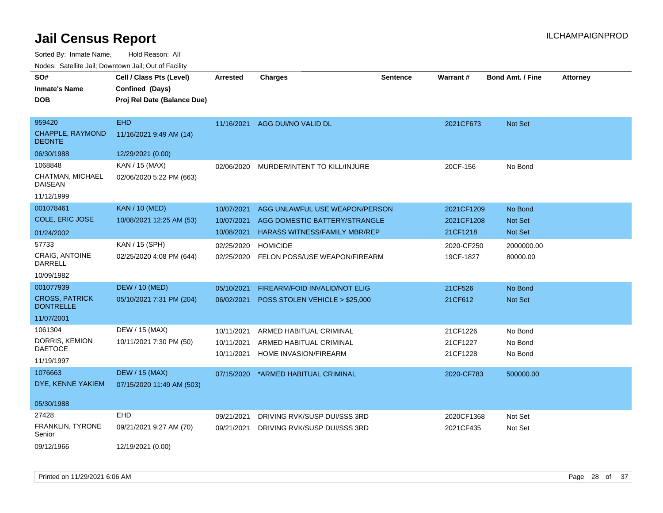| SO#                                       | Cell / Class Pts (Level)    | <b>Arrested</b> | <b>Charges</b>                       | <b>Sentence</b> | Warrant#   | <b>Bond Amt. / Fine</b> | <b>Attorney</b> |
|-------------------------------------------|-----------------------------|-----------------|--------------------------------------|-----------------|------------|-------------------------|-----------------|
| <b>Inmate's Name</b>                      | Confined (Days)             |                 |                                      |                 |            |                         |                 |
| <b>DOB</b>                                | Proj Rel Date (Balance Due) |                 |                                      |                 |            |                         |                 |
|                                           |                             |                 |                                      |                 |            |                         |                 |
| 959420                                    | <b>EHD</b>                  | 11/16/2021      | AGG DUI/NO VALID DL                  |                 | 2021CF673  | Not Set                 |                 |
| CHAPPLE, RAYMOND<br><b>DEONTE</b>         | 11/16/2021 9:49 AM (14)     |                 |                                      |                 |            |                         |                 |
| 06/30/1988                                | 12/29/2021 (0.00)           |                 |                                      |                 |            |                         |                 |
| 1068848                                   | KAN / 15 (MAX)              | 02/06/2020      | MURDER/INTENT TO KILL/INJURE         |                 | 20CF-156   | No Bond                 |                 |
| CHATMAN, MICHAEL<br><b>DAISEAN</b>        | 02/06/2020 5:22 PM (663)    |                 |                                      |                 |            |                         |                 |
| 11/12/1999                                |                             |                 |                                      |                 |            |                         |                 |
| 001078461                                 | <b>KAN / 10 (MED)</b>       | 10/07/2021      | AGG UNLAWFUL USE WEAPON/PERSON       |                 | 2021CF1209 | No Bond                 |                 |
| COLE, ERIC JOSE                           | 10/08/2021 12:25 AM (53)    | 10/07/2021      | AGG DOMESTIC BATTERY/STRANGLE        |                 | 2021CF1208 | Not Set                 |                 |
| 01/24/2002                                |                             | 10/08/2021      | <b>HARASS WITNESS/FAMILY MBR/REP</b> |                 | 21CF1218   | Not Set                 |                 |
| 57733                                     | KAN / 15 (SPH)              | 02/25/2020      | <b>HOMICIDE</b>                      |                 | 2020-CF250 | 2000000.00              |                 |
| CRAIG, ANTOINE<br><b>DARRELL</b>          | 02/25/2020 4:08 PM (644)    | 02/25/2020      | FELON POSS/USE WEAPON/FIREARM        |                 | 19CF-1827  | 80000.00                |                 |
| 10/09/1982                                |                             |                 |                                      |                 |            |                         |                 |
| 001077939                                 | <b>DEW / 10 (MED)</b>       | 05/10/2021      | FIREARM/FOID INVALID/NOT ELIG        |                 | 21CF526    | No Bond                 |                 |
| <b>CROSS, PATRICK</b><br><b>DONTRELLE</b> | 05/10/2021 7:31 PM (204)    | 06/02/2021      | POSS STOLEN VEHICLE > \$25,000       |                 | 21CF612    | Not Set                 |                 |
| 11/07/2001                                |                             |                 |                                      |                 |            |                         |                 |
| 1061304                                   | DEW / 15 (MAX)              | 10/11/2021      | ARMED HABITUAL CRIMINAL              |                 | 21CF1226   | No Bond                 |                 |
| DORRIS, KEMION                            | 10/11/2021 7:30 PM (50)     | 10/11/2021      | ARMED HABITUAL CRIMINAL              |                 | 21CF1227   | No Bond                 |                 |
| <b>DAETOCE</b>                            |                             | 10/11/2021      | HOME INVASION/FIREARM                |                 | 21CF1228   | No Bond                 |                 |
| 11/19/1997                                |                             |                 |                                      |                 |            |                         |                 |
| 1076663                                   | <b>DEW / 15 (MAX)</b>       | 07/15/2020      | *ARMED HABITUAL CRIMINAL             |                 | 2020-CF783 | 500000.00               |                 |
| DYE, KENNE YAKIEM                         | 07/15/2020 11:49 AM (503)   |                 |                                      |                 |            |                         |                 |
| 05/30/1988                                |                             |                 |                                      |                 |            |                         |                 |
| 27428                                     | EHD                         | 09/21/2021      | DRIVING RVK/SUSP DUI/SSS 3RD         |                 | 2020CF1368 | Not Set                 |                 |
| FRANKLIN, TYRONE<br>Senior                | 09/21/2021 9:27 AM (70)     | 09/21/2021      | DRIVING RVK/SUSP DUI/SSS 3RD         |                 | 2021CF435  | Not Set                 |                 |
| 09/12/1966                                | 12/19/2021 (0.00)           |                 |                                      |                 |            |                         |                 |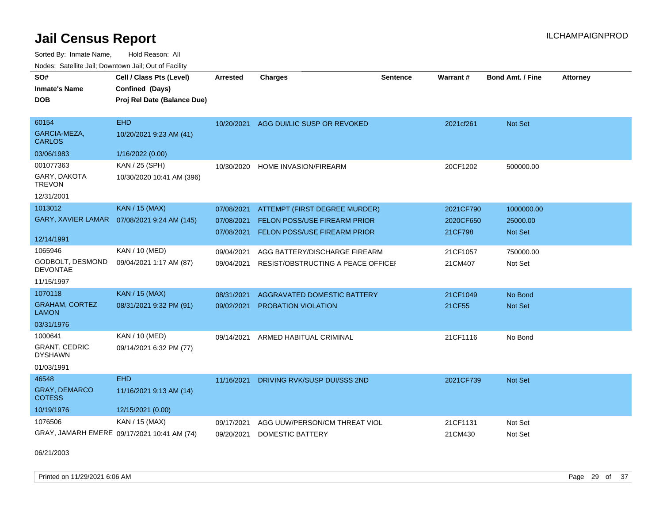Sorted By: Inmate Name, Hold Reason: All Nodes: Satellite Jail; Downtown Jail; Out of Facility

| SO#<br><b>Inmate's Name</b><br><b>DOB</b> | Cell / Class Pts (Level)<br>Confined (Days)<br>Proj Rel Date (Balance Due) | <b>Arrested</b> | <b>Charges</b>                      | <b>Sentence</b> | Warrant#  | <b>Bond Amt. / Fine</b> | <b>Attorney</b> |
|-------------------------------------------|----------------------------------------------------------------------------|-----------------|-------------------------------------|-----------------|-----------|-------------------------|-----------------|
| 60154<br>GARCIA-MEZA,<br><b>CARLOS</b>    | <b>EHD</b><br>10/20/2021 9:23 AM (41)                                      | 10/20/2021      | AGG DUI/LIC SUSP OR REVOKED         |                 | 2021cf261 | Not Set                 |                 |
| 03/06/1983                                | 1/16/2022 (0.00)                                                           |                 |                                     |                 |           |                         |                 |
| 001077363                                 | KAN / 25 (SPH)                                                             | 10/30/2020      | <b>HOME INVASION/FIREARM</b>        |                 | 20CF1202  | 500000.00               |                 |
| GARY, DAKOTA<br><b>TREVON</b>             | 10/30/2020 10:41 AM (396)                                                  |                 |                                     |                 |           |                         |                 |
| 12/31/2001                                |                                                                            |                 |                                     |                 |           |                         |                 |
| 1013012                                   | <b>KAN / 15 (MAX)</b>                                                      | 07/08/2021      | ATTEMPT (FIRST DEGREE MURDER)       |                 | 2021CF790 | 1000000.00              |                 |
| <b>GARY, XAVIER LAMAR</b>                 | 07/08/2021 9:24 AM (145)                                                   | 07/08/2021      | FELON POSS/USE FIREARM PRIOR        |                 | 2020CF650 | 25000.00                |                 |
| 12/14/1991                                |                                                                            | 07/08/2021      | FELON POSS/USE FIREARM PRIOR        |                 | 21CF798   | Not Set                 |                 |
| 1065946                                   | KAN / 10 (MED)                                                             | 09/04/2021      | AGG BATTERY/DISCHARGE FIREARM       |                 | 21CF1057  | 750000.00               |                 |
| GODBOLT, DESMOND<br><b>DEVONTAE</b>       | 09/04/2021 1:17 AM (87)                                                    | 09/04/2021      | RESIST/OBSTRUCTING A PEACE OFFICEL  |                 | 21CM407   | Not Set                 |                 |
| 11/15/1997                                |                                                                            |                 |                                     |                 |           |                         |                 |
| 1070118                                   | <b>KAN / 15 (MAX)</b>                                                      | 08/31/2021      | AGGRAVATED DOMESTIC BATTERY         |                 | 21CF1049  | No Bond                 |                 |
| <b>GRAHAM, CORTEZ</b><br>LAMON            | 08/31/2021 9:32 PM (91)                                                    | 09/02/2021      | PROBATION VIOLATION                 |                 | 21CF55    | <b>Not Set</b>          |                 |
| 03/31/1976                                |                                                                            |                 |                                     |                 |           |                         |                 |
| 1000641                                   | KAN / 10 (MED)                                                             | 09/14/2021      | ARMED HABITUAL CRIMINAL             |                 | 21CF1116  | No Bond                 |                 |
| <b>GRANT, CEDRIC</b><br><b>DYSHAWN</b>    | 09/14/2021 6:32 PM (77)                                                    |                 |                                     |                 |           |                         |                 |
| 01/03/1991                                |                                                                            |                 |                                     |                 |           |                         |                 |
| 46548                                     | <b>EHD</b>                                                                 | 11/16/2021      | <b>DRIVING RVK/SUSP DUI/SSS 2ND</b> |                 | 2021CF739 | Not Set                 |                 |
| GRAY, DEMARCO<br><b>COTESS</b>            | 11/16/2021 9:13 AM (14)                                                    |                 |                                     |                 |           |                         |                 |
| 10/19/1976                                | 12/15/2021 (0.00)                                                          |                 |                                     |                 |           |                         |                 |
| 1076506                                   | KAN / 15 (MAX)                                                             | 09/17/2021      | AGG UUW/PERSON/CM THREAT VIOL       |                 | 21CF1131  | Not Set                 |                 |
|                                           | GRAY, JAMARH EMERE 09/17/2021 10:41 AM (74)                                | 09/20/2021      | <b>DOMESTIC BATTERY</b>             |                 | 21CM430   | Not Set                 |                 |

06/21/2003

Printed on 11/29/2021 6:06 AM Page 29 of 37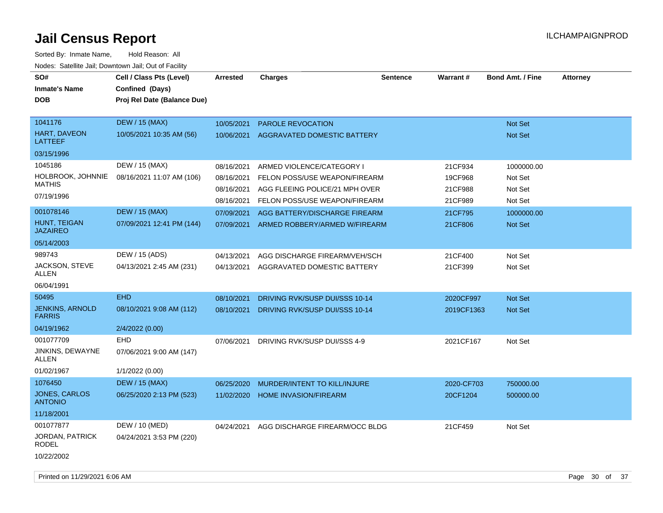| SO#<br><b>Inmate's Name</b><br><b>DOB</b> | Cell / Class Pts (Level)<br>Confined (Days)<br>Proj Rel Date (Balance Due) | <b>Arrested</b> | <b>Charges</b>                        | Sentence | <b>Warrant#</b> | <b>Bond Amt. / Fine</b> | <b>Attorney</b> |
|-------------------------------------------|----------------------------------------------------------------------------|-----------------|---------------------------------------|----------|-----------------|-------------------------|-----------------|
| 1041176                                   | <b>DEW / 15 (MAX)</b>                                                      | 10/05/2021      | <b>PAROLE REVOCATION</b>              |          |                 | Not Set                 |                 |
| <b>HART, DAVEON</b><br>LATTEEF            | 10/05/2021 10:35 AM (56)                                                   | 10/06/2021      | AGGRAVATED DOMESTIC BATTERY           |          |                 | <b>Not Set</b>          |                 |
| 03/15/1996                                |                                                                            |                 |                                       |          |                 |                         |                 |
| 1045186                                   | DEW / 15 (MAX)                                                             | 08/16/2021      | ARMED VIOLENCE/CATEGORY I             |          | 21CF934         | 1000000.00              |                 |
| HOLBROOK, JOHNNIE                         | 08/16/2021 11:07 AM (106)                                                  | 08/16/2021      | FELON POSS/USE WEAPON/FIREARM         |          | 19CF968         | Not Set                 |                 |
| <b>MATHIS</b>                             |                                                                            | 08/16/2021      | AGG FLEEING POLICE/21 MPH OVER        |          | 21CF988         | Not Set                 |                 |
| 07/19/1996                                |                                                                            | 08/16/2021      | FELON POSS/USE WEAPON/FIREARM         |          | 21CF989         | Not Set                 |                 |
| 001078146                                 | <b>DEW / 15 (MAX)</b>                                                      | 07/09/2021      | AGG BATTERY/DISCHARGE FIREARM         |          | 21CF795         | 1000000.00              |                 |
| HUNT, TEIGAN<br><b>JAZAIREO</b>           | 07/09/2021 12:41 PM (144)                                                  | 07/09/2021      | ARMED ROBBERY/ARMED W/FIREARM         |          | 21CF806         | Not Set                 |                 |
| 05/14/2003                                |                                                                            |                 |                                       |          |                 |                         |                 |
| 989743                                    | DEW / 15 (ADS)                                                             | 04/13/2021      | AGG DISCHARGE FIREARM/VEH/SCH         |          | 21CF400         | Not Set                 |                 |
| JACKSON, STEVE<br><b>ALLEN</b>            | 04/13/2021 2:45 AM (231)                                                   | 04/13/2021      | AGGRAVATED DOMESTIC BATTERY           |          | 21CF399         | Not Set                 |                 |
| 06/04/1991                                |                                                                            |                 |                                       |          |                 |                         |                 |
| 50495                                     | <b>EHD</b>                                                                 | 08/10/2021      | DRIVING RVK/SUSP DUI/SSS 10-14        |          | 2020CF997       | Not Set                 |                 |
| <b>JENKINS, ARNOLD</b><br><b>FARRIS</b>   | 08/10/2021 9:08 AM (112)                                                   | 08/10/2021      | <b>DRIVING RVK/SUSP DUI/SSS 10-14</b> |          | 2019CF1363      | Not Set                 |                 |
| 04/19/1962                                | 2/4/2022 (0.00)                                                            |                 |                                       |          |                 |                         |                 |
| 001077709                                 | <b>EHD</b>                                                                 | 07/06/2021      | DRIVING RVK/SUSP DUI/SSS 4-9          |          | 2021CF167       | Not Set                 |                 |
| JINKINS, DEWAYNE<br><b>ALLEN</b>          | 07/06/2021 9:00 AM (147)                                                   |                 |                                       |          |                 |                         |                 |
| 01/02/1967                                | 1/1/2022 (0.00)                                                            |                 |                                       |          |                 |                         |                 |
| 1076450                                   | <b>DEW / 15 (MAX)</b>                                                      | 06/25/2020      | MURDER/INTENT TO KILL/INJURE          |          | 2020-CF703      | 750000.00               |                 |
| JONES, CARLOS<br><b>ANTONIO</b>           | 06/25/2020 2:13 PM (523)                                                   | 11/02/2020      | <b>HOME INVASION/FIREARM</b>          |          | 20CF1204        | 500000.00               |                 |
| 11/18/2001                                |                                                                            |                 |                                       |          |                 |                         |                 |
| 001077877                                 | DEW / 10 (MED)                                                             | 04/24/2021      | AGG DISCHARGE FIREARM/OCC BLDG        |          | 21CF459         | Not Set                 |                 |
| JORDAN, PATRICK<br><b>RODEL</b>           | 04/24/2021 3:53 PM (220)                                                   |                 |                                       |          |                 |                         |                 |
| 10/22/2002                                |                                                                            |                 |                                       |          |                 |                         |                 |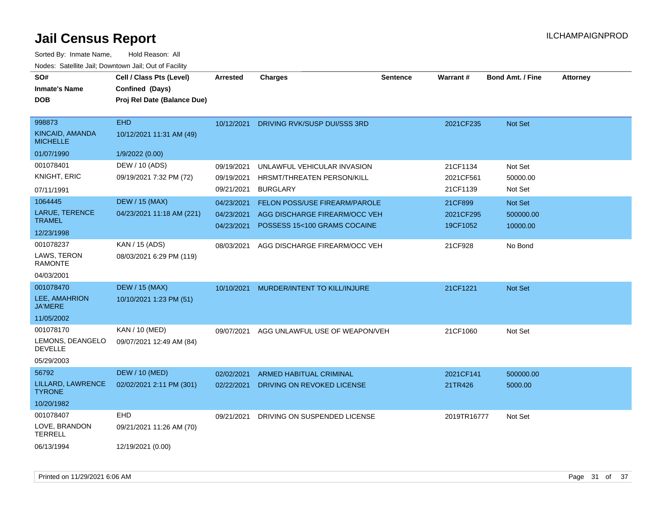| SO#<br><b>Inmate's Name</b><br><b>DOB</b>    | Cell / Class Pts (Level)<br>Confined (Days)<br>Proj Rel Date (Balance Due) | <b>Arrested</b> | <b>Charges</b>                       | <b>Sentence</b> | <b>Warrant#</b> | <b>Bond Amt. / Fine</b> | <b>Attorney</b> |
|----------------------------------------------|----------------------------------------------------------------------------|-----------------|--------------------------------------|-----------------|-----------------|-------------------------|-----------------|
| 998873<br>KINCAID, AMANDA<br><b>MICHELLE</b> | <b>EHD</b><br>10/12/2021 11:31 AM (49)                                     | 10/12/2021      | DRIVING RVK/SUSP DUI/SSS 3RD         |                 | 2021CF235       | Not Set                 |                 |
| 01/07/1990                                   | 1/9/2022 (0.00)                                                            |                 |                                      |                 |                 |                         |                 |
| 001078401                                    | DEW / 10 (ADS)                                                             | 09/19/2021      | UNLAWFUL VEHICULAR INVASION          |                 | 21CF1134        | Not Set                 |                 |
| <b>KNIGHT, ERIC</b>                          | 09/19/2021 7:32 PM (72)                                                    | 09/19/2021      | HRSMT/THREATEN PERSON/KILL           |                 | 2021CF561       | 50000.00                |                 |
| 07/11/1991                                   |                                                                            | 09/21/2021      | <b>BURGLARY</b>                      |                 | 21CF1139        | Not Set                 |                 |
| 1064445                                      | <b>DEW / 15 (MAX)</b>                                                      | 04/23/2021      | <b>FELON POSS/USE FIREARM/PAROLE</b> |                 | 21CF899         | Not Set                 |                 |
| LARUE, TERENCE                               | 04/23/2021 11:18 AM (221)                                                  | 04/23/2021      | AGG DISCHARGE FIREARM/OCC VEH        |                 | 2021CF295       | 500000.00               |                 |
| <b>TRAMEL</b>                                |                                                                            | 04/23/2021      | POSSESS 15<100 GRAMS COCAINE         |                 | 19CF1052        | 10000.00                |                 |
| 12/23/1998                                   |                                                                            |                 |                                      |                 |                 |                         |                 |
| 001078237                                    | KAN / 15 (ADS)                                                             | 08/03/2021      | AGG DISCHARGE FIREARM/OCC VEH        |                 | 21CF928         | No Bond                 |                 |
| LAWS, TERON<br><b>RAMONTE</b>                | 08/03/2021 6:29 PM (119)                                                   |                 |                                      |                 |                 |                         |                 |
| 04/03/2001                                   |                                                                            |                 |                                      |                 |                 |                         |                 |
| 001078470                                    | <b>DEW / 15 (MAX)</b>                                                      | 10/10/2021      | MURDER/INTENT TO KILL/INJURE         |                 | 21CF1221        | Not Set                 |                 |
| LEE, AMAHRION<br><b>JA'MERE</b>              | 10/10/2021 1:23 PM (51)                                                    |                 |                                      |                 |                 |                         |                 |
| 11/05/2002                                   |                                                                            |                 |                                      |                 |                 |                         |                 |
| 001078170                                    | KAN / 10 (MED)                                                             | 09/07/2021      | AGG UNLAWFUL USE OF WEAPON/VEH       |                 | 21CF1060        | Not Set                 |                 |
| LEMONS, DEANGELO<br><b>DEVELLE</b>           | 09/07/2021 12:49 AM (84)                                                   |                 |                                      |                 |                 |                         |                 |
| 05/29/2003                                   |                                                                            |                 |                                      |                 |                 |                         |                 |
| 56792                                        | <b>DEW / 10 (MED)</b>                                                      | 02/02/2021      | <b>ARMED HABITUAL CRIMINAL</b>       |                 | 2021CF141       | 500000.00               |                 |
| LILLARD, LAWRENCE<br><b>TYRONE</b>           | 02/02/2021 2:11 PM (301)                                                   | 02/22/2021      | DRIVING ON REVOKED LICENSE           |                 | 21TR426         | 5000.00                 |                 |
| 10/20/1982                                   |                                                                            |                 |                                      |                 |                 |                         |                 |
| 001078407                                    | EHD                                                                        | 09/21/2021      | DRIVING ON SUSPENDED LICENSE         |                 | 2019TR16777     | Not Set                 |                 |
| LOVE, BRANDON<br><b>TERRELL</b>              | 09/21/2021 11:26 AM (70)                                                   |                 |                                      |                 |                 |                         |                 |
| 06/13/1994                                   | 12/19/2021 (0.00)                                                          |                 |                                      |                 |                 |                         |                 |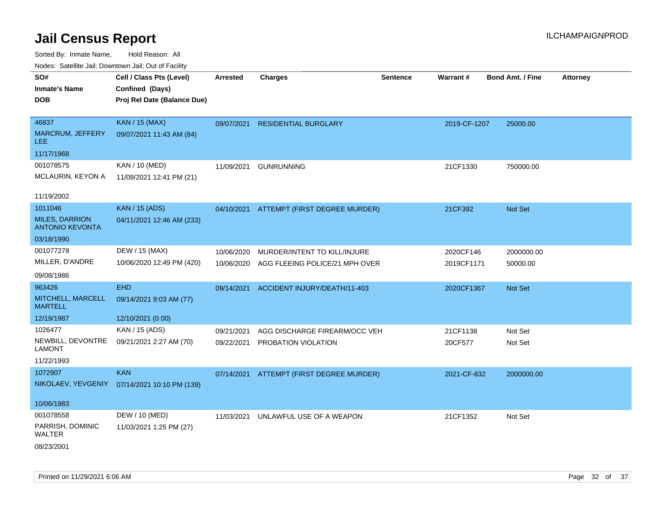| ivouss. Saleling Jali, Downtown Jali, Out of Facility |                             |                 |                                          |                 |              |                         |                 |
|-------------------------------------------------------|-----------------------------|-----------------|------------------------------------------|-----------------|--------------|-------------------------|-----------------|
| SO#                                                   | Cell / Class Pts (Level)    | <b>Arrested</b> | <b>Charges</b>                           | <b>Sentence</b> | Warrant#     | <b>Bond Amt. / Fine</b> | <b>Attorney</b> |
| <b>Inmate's Name</b>                                  | Confined (Days)             |                 |                                          |                 |              |                         |                 |
| <b>DOB</b>                                            | Proj Rel Date (Balance Due) |                 |                                          |                 |              |                         |                 |
|                                                       |                             |                 |                                          |                 |              |                         |                 |
| 46837                                                 | <b>KAN / 15 (MAX)</b>       | 09/07/2021      | <b>RESIDENTIAL BURGLARY</b>              |                 | 2019-CF-1207 | 25000.00                |                 |
| MARCRUM, JEFFERY<br><b>LEE</b>                        | 09/07/2021 11:43 AM (84)    |                 |                                          |                 |              |                         |                 |
| 11/17/1968                                            |                             |                 |                                          |                 |              |                         |                 |
| 001078575                                             | KAN / 10 (MED)              | 11/09/2021      | <b>GUNRUNNING</b>                        |                 | 21CF1330     | 750000.00               |                 |
| MCLAURIN, KEYON A                                     | 11/09/2021 12:41 PM (21)    |                 |                                          |                 |              |                         |                 |
|                                                       |                             |                 |                                          |                 |              |                         |                 |
| 11/19/2002                                            |                             |                 |                                          |                 |              |                         |                 |
| 1011046                                               | <b>KAN / 15 (ADS)</b>       |                 | 04/10/2021 ATTEMPT (FIRST DEGREE MURDER) |                 | 21CF392      | Not Set                 |                 |
| <b>MILES, DARRION</b><br><b>ANTONIO KEVONTA</b>       | 04/11/2021 12:46 AM (233)   |                 |                                          |                 |              |                         |                 |
| 03/18/1990                                            |                             |                 |                                          |                 |              |                         |                 |
| 001077278                                             | DEW / 15 (MAX)              | 10/06/2020      | MURDER/INTENT TO KILL/INJURE             |                 | 2020CF146    | 2000000.00              |                 |
| MILLER, D'ANDRE                                       | 10/06/2020 12:49 PM (420)   | 10/06/2020      | AGG FLEEING POLICE/21 MPH OVER           |                 | 2019CF1171   | 50000.00                |                 |
| 09/08/1986                                            |                             |                 |                                          |                 |              |                         |                 |
| 963426                                                | <b>EHD</b>                  | 09/14/2021      | ACCIDENT INJURY/DEATH/11-403             |                 | 2020CF1367   | <b>Not Set</b>          |                 |
| MITCHELL, MARCELL<br><b>MARTELL</b>                   | 09/14/2021 9:03 AM (77)     |                 |                                          |                 |              |                         |                 |
| 12/19/1987                                            | 12/10/2021 (0.00)           |                 |                                          |                 |              |                         |                 |
| 1026477                                               | KAN / 15 (ADS)              | 09/21/2021      | AGG DISCHARGE FIREARM/OCC VEH            |                 | 21CF1138     | Not Set                 |                 |
| NEWBILL, DEVONTRE<br><b>LAMONT</b>                    | 09/21/2021 2:27 AM (70)     | 09/22/2021      | PROBATION VIOLATION                      |                 | 20CF577      | Not Set                 |                 |
| 11/22/1993                                            |                             |                 |                                          |                 |              |                         |                 |
| 1072907                                               | <b>KAN</b>                  |                 | 07/14/2021 ATTEMPT (FIRST DEGREE MURDER) |                 | 2021-CF-832  | 2000000.00              |                 |
| NIKOLAEV, YEVGENIY                                    | 07/14/2021 10:10 PM (139)   |                 |                                          |                 |              |                         |                 |
|                                                       |                             |                 |                                          |                 |              |                         |                 |
| 10/06/1983                                            |                             |                 |                                          |                 |              |                         |                 |
| 001078558                                             | DEW / 10 (MED)              | 11/03/2021      | UNLAWFUL USE OF A WEAPON                 |                 | 21CF1352     | Not Set                 |                 |
| PARRISH, DOMINIC<br>WALTER                            | 11/03/2021 1:25 PM (27)     |                 |                                          |                 |              |                         |                 |
| 08/23/2001                                            |                             |                 |                                          |                 |              |                         |                 |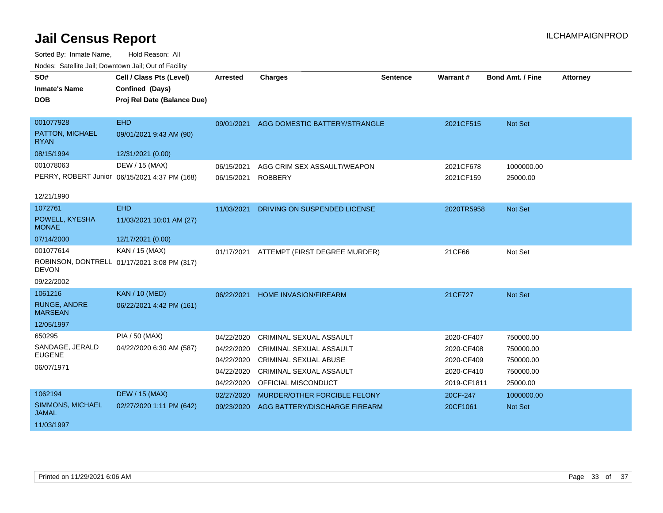| SO#                                   | Cell / Class Pts (Level)                      | <b>Arrested</b> | <b>Charges</b>                 | <b>Sentence</b> | Warrant #   | Bond Amt. / Fine | <b>Attorney</b> |
|---------------------------------------|-----------------------------------------------|-----------------|--------------------------------|-----------------|-------------|------------------|-----------------|
| <b>Inmate's Name</b>                  | Confined (Days)                               |                 |                                |                 |             |                  |                 |
| <b>DOB</b>                            | Proj Rel Date (Balance Due)                   |                 |                                |                 |             |                  |                 |
|                                       |                                               |                 |                                |                 |             |                  |                 |
| 001077928                             | <b>EHD</b>                                    | 09/01/2021      | AGG DOMESTIC BATTERY/STRANGLE  |                 | 2021CF515   | Not Set          |                 |
| PATTON, MICHAEL<br><b>RYAN</b>        | 09/01/2021 9:43 AM (90)                       |                 |                                |                 |             |                  |                 |
| 08/15/1994                            | 12/31/2021 (0.00)                             |                 |                                |                 |             |                  |                 |
| 001078063                             | DEW / 15 (MAX)                                | 06/15/2021      | AGG CRIM SEX ASSAULT/WEAPON    |                 | 2021CF678   | 1000000.00       |                 |
|                                       | PERRY, ROBERT Junior 06/15/2021 4:37 PM (168) | 06/15/2021      | <b>ROBBERY</b>                 |                 | 2021CF159   | 25000.00         |                 |
| 12/21/1990                            |                                               |                 |                                |                 |             |                  |                 |
| 1072761                               | <b>EHD</b>                                    | 11/03/2021      | DRIVING ON SUSPENDED LICENSE   |                 | 2020TR5958  | Not Set          |                 |
| POWELL, KYESHA<br><b>MONAE</b>        | 11/03/2021 10:01 AM (27)                      |                 |                                |                 |             |                  |                 |
| 07/14/2000                            | 12/17/2021 (0.00)                             |                 |                                |                 |             |                  |                 |
| 001077614                             | KAN / 15 (MAX)                                | 01/17/2021      | ATTEMPT (FIRST DEGREE MURDER)  |                 | 21CF66      | Not Set          |                 |
| <b>DEVON</b>                          | ROBINSON, DONTRELL 01/17/2021 3:08 PM (317)   |                 |                                |                 |             |                  |                 |
| 09/22/2002                            |                                               |                 |                                |                 |             |                  |                 |
| 1061216                               | <b>KAN / 10 (MED)</b>                         | 06/22/2021      | <b>HOME INVASION/FIREARM</b>   |                 | 21CF727     | <b>Not Set</b>   |                 |
| <b>RUNGE, ANDRE</b><br><b>MARSEAN</b> | 06/22/2021 4:42 PM (161)                      |                 |                                |                 |             |                  |                 |
| 12/05/1997                            |                                               |                 |                                |                 |             |                  |                 |
| 650295                                | PIA / 50 (MAX)                                | 04/22/2020      | <b>CRIMINAL SEXUAL ASSAULT</b> |                 | 2020-CF407  | 750000.00        |                 |
| SANDAGE, JERALD                       | 04/22/2020 6:30 AM (587)                      | 04/22/2020      | CRIMINAL SEXUAL ASSAULT        |                 | 2020-CF408  | 750000.00        |                 |
| <b>EUGENE</b>                         |                                               | 04/22/2020      | <b>CRIMINAL SEXUAL ABUSE</b>   |                 | 2020-CF409  | 750000.00        |                 |
| 06/07/1971                            |                                               | 04/22/2020      | <b>CRIMINAL SEXUAL ASSAULT</b> |                 | 2020-CF410  | 750000.00        |                 |
|                                       |                                               | 04/22/2020      | OFFICIAL MISCONDUCT            |                 | 2019-CF1811 | 25000.00         |                 |
| 1062194                               | <b>DEW / 15 (MAX)</b>                         | 02/27/2020      | MURDER/OTHER FORCIBLE FELONY   |                 | 20CF-247    | 1000000.00       |                 |
| SIMMONS, MICHAEL<br><b>JAMAL</b>      | 02/27/2020 1:11 PM (642)                      | 09/23/2020      | AGG BATTERY/DISCHARGE FIREARM  |                 | 20CF1061    | Not Set          |                 |
| 11/03/1997                            |                                               |                 |                                |                 |             |                  |                 |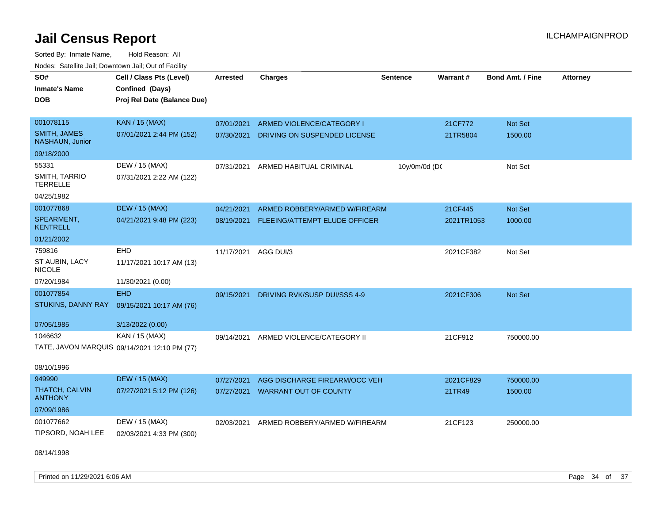Sorted By: Inmate Name, Hold Reason: All Nodes: Satellite Jail; Downtown Jail; Out of Facility

| SO#<br><b>Inmate's Name</b><br><b>DOB</b>     | Cell / Class Pts (Level)<br>Confined (Days)<br>Proj Rel Date (Balance Due) | Arrested   | <b>Charges</b>                | <b>Sentence</b> | Warrant#   | <b>Bond Amt. / Fine</b> | <b>Attorney</b> |
|-----------------------------------------------|----------------------------------------------------------------------------|------------|-------------------------------|-----------------|------------|-------------------------|-----------------|
| 001078115                                     | <b>KAN / 15 (MAX)</b>                                                      | 07/01/2021 | ARMED VIOLENCE/CATEGORY I     |                 | 21CF772    | <b>Not Set</b>          |                 |
| <b>SMITH, JAMES</b><br><b>NASHAUN, Junior</b> | 07/01/2021 2:44 PM (152)                                                   | 07/30/2021 | DRIVING ON SUSPENDED LICENSE  |                 | 21TR5804   | 1500.00                 |                 |
| 09/18/2000                                    |                                                                            |            |                               |                 |            |                         |                 |
| 55331                                         | DEW / 15 (MAX)                                                             | 07/31/2021 | ARMED HABITUAL CRIMINAL       | 10y/0m/0d (DC   |            | Not Set                 |                 |
| <b>SMITH, TARRIO</b><br><b>TERRELLE</b>       | 07/31/2021 2:22 AM (122)                                                   |            |                               |                 |            |                         |                 |
| 04/25/1982                                    |                                                                            |            |                               |                 |            |                         |                 |
| 001077868                                     | <b>DEW / 15 (MAX)</b>                                                      | 04/21/2021 | ARMED ROBBERY/ARMED W/FIREARM |                 | 21CF445    | Not Set                 |                 |
| SPEARMENT,<br><b>KENTRELL</b>                 | 04/21/2021 9:48 PM (223)                                                   | 08/19/2021 | FLEEING/ATTEMPT ELUDE OFFICER |                 | 2021TR1053 | 1000.00                 |                 |
| 01/21/2002                                    |                                                                            |            |                               |                 |            |                         |                 |
| 759816                                        | <b>EHD</b>                                                                 | 11/17/2021 | AGG DUI/3                     |                 | 2021CF382  | Not Set                 |                 |
| ST AUBIN, LACY<br><b>NICOLE</b>               | 11/17/2021 10:17 AM (13)                                                   |            |                               |                 |            |                         |                 |
| 07/20/1984                                    | 11/30/2021 (0.00)                                                          |            |                               |                 |            |                         |                 |
| 001077854                                     | <b>EHD</b>                                                                 | 09/15/2021 | DRIVING RVK/SUSP DUI/SSS 4-9  |                 | 2021CF306  | <b>Not Set</b>          |                 |
| STUKINS, DANNY RAY                            | 09/15/2021 10:17 AM (76)                                                   |            |                               |                 |            |                         |                 |
| 07/05/1985                                    | 3/13/2022 (0.00)                                                           |            |                               |                 |            |                         |                 |
| 1046632                                       | KAN / 15 (MAX)                                                             | 09/14/2021 | ARMED VIOLENCE/CATEGORY II    |                 | 21CF912    | 750000.00               |                 |
|                                               | TATE, JAVON MARQUIS 09/14/2021 12:10 PM (77)                               |            |                               |                 |            |                         |                 |
| 08/10/1996                                    |                                                                            |            |                               |                 |            |                         |                 |
| 949990                                        | <b>DEW / 15 (MAX)</b>                                                      | 07/27/2021 | AGG DISCHARGE FIREARM/OCC VEH |                 | 2021CF829  | 750000.00               |                 |
| THATCH, CALVIN<br><b>ANTHONY</b>              | 07/27/2021 5:12 PM (126)                                                   | 07/27/2021 | <b>WARRANT OUT OF COUNTY</b>  |                 | 21TR49     | 1500.00                 |                 |
| 07/09/1986                                    |                                                                            |            |                               |                 |            |                         |                 |
| 001077662<br>TIPSORD, NOAH LEE                | DEW / 15 (MAX)<br>02/03/2021 4:33 PM (300)                                 | 02/03/2021 | ARMED ROBBERY/ARMED W/FIREARM |                 | 21CF123    | 250000.00               |                 |

08/14/1998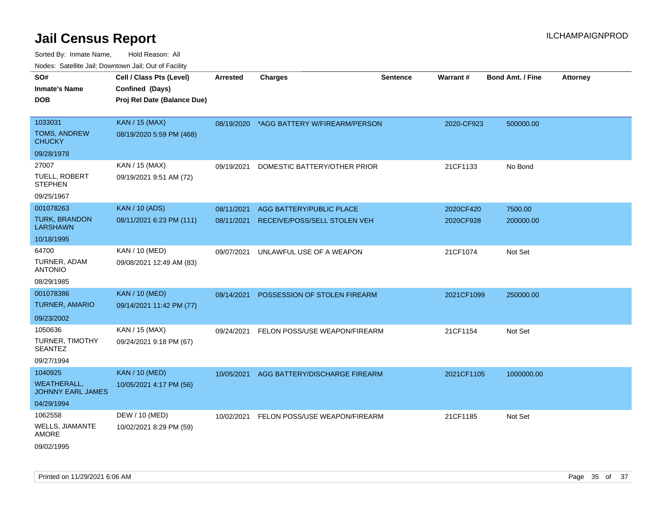| <b>Nedee:</b> Catoline can, Domnomi can, Oat or I domt |                             |            |                                          |                 |            |                         |                 |
|--------------------------------------------------------|-----------------------------|------------|------------------------------------------|-----------------|------------|-------------------------|-----------------|
| SO#                                                    | Cell / Class Pts (Level)    | Arrested   | <b>Charges</b>                           | <b>Sentence</b> | Warrant#   | <b>Bond Amt. / Fine</b> | <b>Attorney</b> |
| Inmate's Name                                          | Confined (Days)             |            |                                          |                 |            |                         |                 |
| <b>DOB</b>                                             | Proj Rel Date (Balance Due) |            |                                          |                 |            |                         |                 |
| 1033031                                                | <b>KAN / 15 (MAX)</b>       |            |                                          |                 |            |                         |                 |
| TOMS, ANDREW                                           |                             |            | 08/19/2020 *AGG BATTERY W/FIREARM/PERSON |                 | 2020-CF923 | 500000.00               |                 |
| <b>CHUCKY</b>                                          | 08/19/2020 5:59 PM (468)    |            |                                          |                 |            |                         |                 |
| 09/28/1978                                             |                             |            |                                          |                 |            |                         |                 |
| 27007                                                  | KAN / 15 (MAX)              | 09/19/2021 | DOMESTIC BATTERY/OTHER PRIOR             |                 | 21CF1133   | No Bond                 |                 |
| TUELL, ROBERT<br><b>STEPHEN</b>                        | 09/19/2021 9:51 AM (72)     |            |                                          |                 |            |                         |                 |
| 09/25/1967                                             |                             |            |                                          |                 |            |                         |                 |
| 001078263                                              | <b>KAN / 10 (ADS)</b>       | 08/11/2021 | AGG BATTERY/PUBLIC PLACE                 |                 | 2020CF420  | 7500.00                 |                 |
| <b>TURK, BRANDON</b><br><b>LARSHAWN</b>                | 08/11/2021 6:23 PM (111)    | 08/11/2021 | RECEIVE/POSS/SELL STOLEN VEH             |                 | 2020CF928  | 200000.00               |                 |
| 10/18/1995                                             |                             |            |                                          |                 |            |                         |                 |
| 64700                                                  | KAN / 10 (MED)              | 09/07/2021 | UNLAWFUL USE OF A WEAPON                 |                 | 21CF1074   | Not Set                 |                 |
| TURNER, ADAM<br>ANTONIO                                | 09/08/2021 12:49 AM (83)    |            |                                          |                 |            |                         |                 |
| 08/29/1985                                             |                             |            |                                          |                 |            |                         |                 |
| 001078386                                              | <b>KAN / 10 (MED)</b>       | 09/14/2021 | POSSESSION OF STOLEN FIREARM             |                 | 2021CF1099 | 250000.00               |                 |
| TURNER, AMARIO                                         | 09/14/2021 11:42 PM (77)    |            |                                          |                 |            |                         |                 |
| 09/23/2002                                             |                             |            |                                          |                 |            |                         |                 |
| 1050636                                                | KAN / 15 (MAX)              | 09/24/2021 | FELON POSS/USE WEAPON/FIREARM            |                 | 21CF1154   | Not Set                 |                 |
| TURNER, TIMOTHY<br>SEANTEZ                             | 09/24/2021 9:18 PM (67)     |            |                                          |                 |            |                         |                 |
| 09/27/1994                                             |                             |            |                                          |                 |            |                         |                 |
| 1040925                                                | <b>KAN / 10 (MED)</b>       |            | 10/05/2021 AGG BATTERY/DISCHARGE FIREARM |                 | 2021CF1105 | 1000000.00              |                 |
| <b>WEATHERALL,</b><br>JOHNNY EARL JAMES                | 10/05/2021 4:17 PM (56)     |            |                                          |                 |            |                         |                 |
| 04/29/1994                                             |                             |            |                                          |                 |            |                         |                 |
| 1062558                                                | DEW / 10 (MED)              |            | 10/02/2021 FELON POSS/USE WEAPON/FIREARM |                 | 21CF1185   | Not Set                 |                 |
| WELLS, JIAMANTE<br>AMORE                               | 10/02/2021 8:29 PM (59)     |            |                                          |                 |            |                         |                 |
| 09/02/1995                                             |                             |            |                                          |                 |            |                         |                 |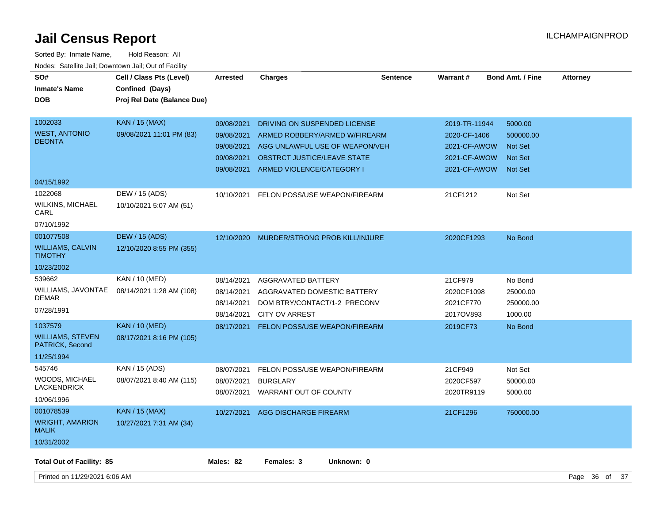| SO#<br><b>Inmate's Name</b><br><b>DOB</b>                              | Cell / Class Pts (Level)<br>Confined (Days)<br>Proj Rel Date (Balance Due) | <b>Arrested</b>                                                    | <b>Charges</b>                                                                                                                                              | <b>Sentence</b> | <b>Warrant#</b>                                                               | <b>Bond Amt. / Fine</b>                                                    | <b>Attorney</b> |  |
|------------------------------------------------------------------------|----------------------------------------------------------------------------|--------------------------------------------------------------------|-------------------------------------------------------------------------------------------------------------------------------------------------------------|-----------------|-------------------------------------------------------------------------------|----------------------------------------------------------------------------|-----------------|--|
| 1002033<br><b>WEST, ANTONIO</b><br><b>DEONTA</b>                       | <b>KAN</b> / 15 (MAX)<br>09/08/2021 11:01 PM (83)                          | 09/08/2021<br>09/08/2021<br>09/08/2021<br>09/08/2021<br>09/08/2021 | DRIVING ON SUSPENDED LICENSE<br>ARMED ROBBERY/ARMED W/FIREARM<br>AGG UNLAWFUL USE OF WEAPON/VEH<br>OBSTRCT JUSTICE/LEAVE STATE<br>ARMED VIOLENCE/CATEGORY I |                 | 2019-TR-11944<br>2020-CF-1406<br>2021-CF-AWOW<br>2021-CF-AWOW<br>2021-CF-AWOW | 5000.00<br>500000.00<br><b>Not Set</b><br><b>Not Set</b><br><b>Not Set</b> |                 |  |
| 04/15/1992<br>1022068<br><b>WILKINS, MICHAEL</b><br>CARL<br>07/10/1992 | DEW / 15 (ADS)<br>10/10/2021 5:07 AM (51)                                  | 10/10/2021                                                         | FELON POSS/USE WEAPON/FIREARM                                                                                                                               |                 | 21CF1212                                                                      | Not Set                                                                    |                 |  |
| 001077508<br><b>WILLIAMS, CALVIN</b><br><b>TIMOTHY</b><br>10/23/2002   | <b>DEW / 15 (ADS)</b><br>12/10/2020 8:55 PM (355)                          | 12/10/2020                                                         | MURDER/STRONG PROB KILL/INJURE                                                                                                                              |                 | 2020CF1293                                                                    | No Bond                                                                    |                 |  |
| 539662<br>WILLIAMS, JAVONTAE<br><b>DEMAR</b><br>07/28/1991             | KAN / 10 (MED)<br>08/14/2021 1:28 AM (108)                                 | 08/14/2021<br>08/14/2021<br>08/14/2021<br>08/14/2021               | <b>AGGRAVATED BATTERY</b><br>AGGRAVATED DOMESTIC BATTERY<br>DOM BTRY/CONTACT/1-2 PRECONV<br><b>CITY OV ARREST</b>                                           |                 | 21CF979<br>2020CF1098<br>2021CF770<br>2017OV893                               | No Bond<br>25000.00<br>250000.00<br>1000.00                                |                 |  |
| 1037579<br><b>WILLIAMS, STEVEN</b><br>PATRICK, Second<br>11/25/1994    | <b>KAN / 10 (MED)</b><br>08/17/2021 8:16 PM (105)                          | 08/17/2021                                                         | <b>FELON POSS/USE WEAPON/FIREARM</b>                                                                                                                        |                 | 2019CF73                                                                      | No Bond                                                                    |                 |  |
| 545746<br><b>WOODS, MICHAEL</b><br><b>LACKENDRICK</b><br>10/06/1996    | KAN / 15 (ADS)<br>08/07/2021 8:40 AM (115)                                 | 08/07/2021<br>08/07/2021                                           | FELON POSS/USE WEAPON/FIREARM<br><b>BURGLARY</b><br>08/07/2021 WARRANT OUT OF COUNTY                                                                        |                 | 21CF949<br>2020CF597<br>2020TR9119                                            | Not Set<br>50000.00<br>5000.00                                             |                 |  |
| 001078539<br><b>WRIGHT, AMARION</b><br><b>MALIK</b><br>10/31/2002      | <b>KAN / 15 (MAX)</b><br>10/27/2021 7:31 AM (34)                           | 10/27/2021                                                         | AGG DISCHARGE FIREARM                                                                                                                                       |                 | 21CF1296                                                                      | 750000.00                                                                  |                 |  |
| <b>Total Out of Facility: 85</b>                                       |                                                                            | Males: 82                                                          | Females: 3<br>Unknown: 0                                                                                                                                    |                 |                                                                               |                                                                            |                 |  |
| Printed on 11/29/2021 6:06 AM                                          |                                                                            |                                                                    |                                                                                                                                                             |                 |                                                                               |                                                                            | Page 36 of 37   |  |